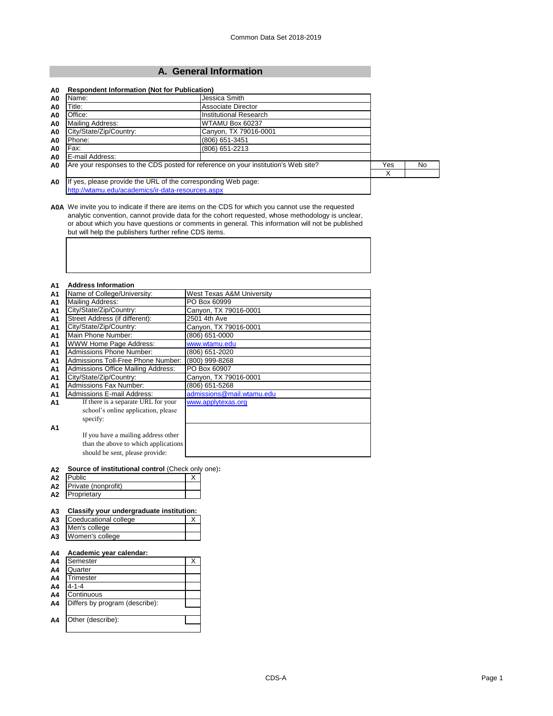# **A. General Information**

| Name:<br>A0                       | Jessica Smith                                                                      |     |     |  |  |
|-----------------------------------|------------------------------------------------------------------------------------|-----|-----|--|--|
| Title:<br>A0                      | Associate Director                                                                 |     |     |  |  |
| Office:<br>A0                     | Institutional Research                                                             |     |     |  |  |
| Mailing Address:<br>A0            | WTAMU Box 60237                                                                    |     |     |  |  |
| City/State/Zip/Country:<br>A0     | Canyon, TX 79016-0001                                                              |     |     |  |  |
| Phone:<br>A0                      | (806) 651-3451                                                                     |     |     |  |  |
| Fax:<br>A0                        | (806) 651-2213                                                                     |     |     |  |  |
| E-mail Address:<br>A <sub>0</sub> |                                                                                    |     |     |  |  |
| A <sub>0</sub>                    | Are your responses to the CDS posted for reference on your institution's Web site? | Yes | No. |  |  |
|                                   |                                                                                    | X   |     |  |  |
| A <sub>0</sub>                    | If yes, please provide the URL of the corresponding Web page:                      |     |     |  |  |
|                                   | http://wtamu.edu/academics/ir-data-resources.aspx                                  |     |     |  |  |

**A0A** We invite you to indicate if there are items on the CDS for which you cannot use the requested analytic convention, cannot provide data for the cohort requested, whose methodology is unclear, or about which you have questions or comments in general. This information will not be published but will help the publishers further refine CDS items.

#### **A1 Address Information**

| A1             | Name of College/University:          | West Texas A&M University |
|----------------|--------------------------------------|---------------------------|
| A1             | Mailing Address:                     | PO Box 60999              |
| A1             | City/State/Zip/Country:              | Canyon, TX 79016-0001     |
| A1             | Street Address (if different):       | 2501 4th Ave              |
| A1             | City/State/Zip/Country:              | Canyon, TX 79016-0001     |
| <b>A1</b>      | Main Phone Number:                   | (806) 651-0000            |
| A <sub>1</sub> | WWW Home Page Address:               | www.wtamu.edu             |
| A <sub>1</sub> | <b>Admissions Phone Number:</b>      | (806) 651-2020            |
| A <sub>1</sub> | Admissions Toll-Free Phone Number:   | (800) 999-8268            |
| A1             | Admissions Office Mailing Address:   | PO Box 60907              |
| A1             | City/State/Zip/Country:              | Canyon, TX 79016-0001     |
| A1             | <b>Admissions Fax Number:</b>        | (806) 651-5268            |
| A <sub>1</sub> | <b>Admissions E-mail Address:</b>    | admissions@mail.wtamu.edu |
| A1             | If there is a separate URL for your  | www.applytexas.org        |
|                | school's online application, please  |                           |
|                | specify:                             |                           |
| A1             |                                      |                           |
|                | If you have a mailing address other  |                           |
|                | than the above to which applications |                           |
|                | should be sent, please provide:      |                           |

#### **A2 Source of institutional control** (Check only one)**:**

| ---            |                     |  |
|----------------|---------------------|--|
| A <sub>2</sub> | Public              |  |
| A2             | Private (nonprofit) |  |
| A2             | Proprietary         |  |

## **A3 Classify your undergraduate institution:**

| A <sub>3</sub> | Coeducational college |  |
|----------------|-----------------------|--|
|                | A3 Men's college      |  |
|                | A3 Women's college    |  |

## **A4 Academic year calendar:**

| A4             | Semester                       | Χ |
|----------------|--------------------------------|---|
| A4             | Quarter                        |   |
| A4             | Trimester                      |   |
| A4             | $4 - 1 - 4$                    |   |
| A4             | Continuous                     |   |
| A <sub>4</sub> | Differs by program (describe): |   |
|                |                                |   |
| A4             | Other (describe):              |   |
|                |                                |   |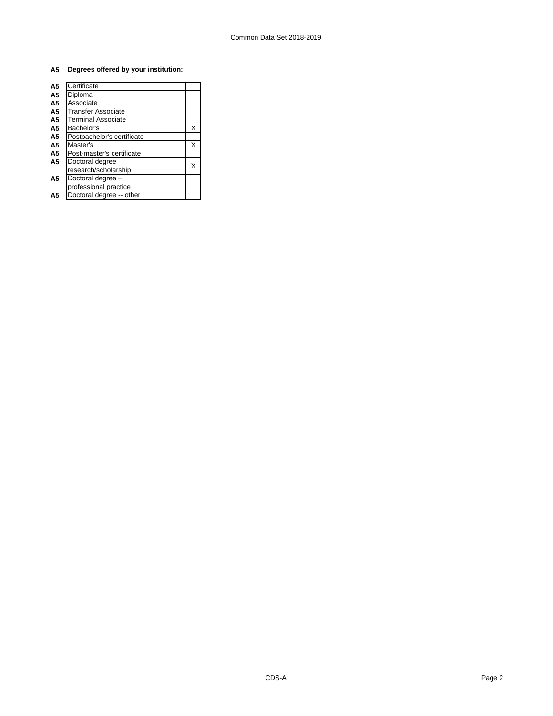# **A5 Degrees offered by your institution:**

| Certificate                |   |
|----------------------------|---|
| Diploma                    |   |
| Associate                  |   |
| Transfer Associate         |   |
| <b>Terminal Associate</b>  |   |
| Bachelor's                 | X |
| Postbachelor's certificate |   |
| Master's                   | X |
| Post-master's certificate  |   |
| Doctoral degree            |   |
| research/scholarship       |   |
| Doctoral degree -          |   |
| professional practice      |   |
| Doctoral degree -- other   |   |
|                            |   |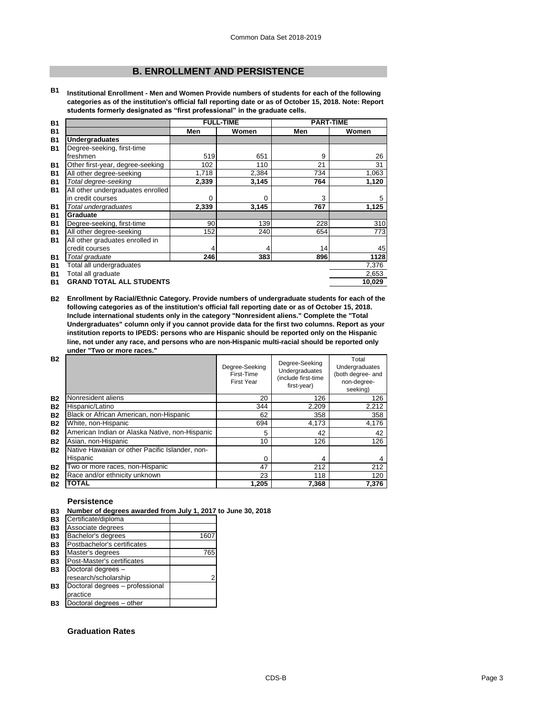# **B. ENROLLMENT AND PERSISTENCE**

**B1 Institutional Enrollment - Men and Women Provide numbers of students for each of the following categories as of the institution's official fall reporting date or as of October 15, 2018. Note: Report students formerly designated as "first professional" in the graduate cells.**

| <b>B1</b> |                                   |       | <b>FULL-TIME</b> | <b>PART-TIME</b> |        |
|-----------|-----------------------------------|-------|------------------|------------------|--------|
| <b>B1</b> |                                   | Men   | Women            | Men              | Women  |
| <b>B1</b> | <b>Undergraduates</b>             |       |                  |                  |        |
| <b>B1</b> | Degree-seeking, first-time        |       |                  |                  |        |
|           | freshmen                          | 519   | 651              | 9                | 26     |
| <b>B1</b> | Other first-year, degree-seeking  | 102   | 110              | 21               | 31     |
| <b>B1</b> | All other degree-seeking          | 1,718 | 2,384            | 734              | 1,063  |
| <b>B1</b> | Total degree-seeking              | 2,339 | 3,145            | 764              | 1,120  |
| <b>B1</b> | All other undergraduates enrolled |       |                  |                  |        |
|           | in credit courses                 | 0     | $\Omega$         | 3                | 5      |
| <b>B1</b> | Total undergraduates              | 2,339 | 3,145            | 767              | 1,125  |
| <b>B1</b> | Graduate                          |       |                  |                  |        |
| <b>B1</b> | Degree-seeking, first-time        | 90    | 139              | 228              | 310    |
| <b>B1</b> | All other degree-seeking          | 152   | 240              | 654              | 773    |
| <b>B1</b> | All other graduates enrolled in   |       |                  |                  |        |
|           | credit courses                    | 4     | 4                | 14               | 45     |
| <b>B1</b> | Total graduate                    | 246   | 383              | 896              | 1128   |
| <b>B1</b> | Total all undergraduates          |       |                  |                  | 7,376  |
| <b>B1</b> | Total all graduate                |       |                  |                  | 2,653  |
| <b>B1</b> | <b>GRAND TOTAL ALL STUDENTS</b>   |       |                  |                  | 10,029 |

**B2 Enrollment by Racial/Ethnic Category. Provide numbers of undergraduate students for each of the following categories as of the institution's official fall reporting date or as of October 15, 2018. Include international students only in the category "Nonresident aliens." Complete the "Total Undergraduates" column only if you cannot provide data for the first two columns. Report as your institution reports to IPEDS: persons who are Hispanic should be reported only on the Hispanic line, not under any race, and persons who are non-Hispanic multi-racial should be reported only under "Two or more races."** 

| <b>B2</b> |                                                 | Degree-Seeking<br>First-Time<br>First Year | Degree-Seeking<br>Undergraduates<br>(include first-time<br>first-year) | Total<br>Undergraduates<br>(both degree- and<br>non-degree-<br>seeking) |
|-----------|-------------------------------------------------|--------------------------------------------|------------------------------------------------------------------------|-------------------------------------------------------------------------|
| <b>B2</b> | Nonresident aliens                              | 20                                         | 126                                                                    | 126                                                                     |
| <b>B2</b> | Hispanic/Latino                                 | 344                                        | 2,209                                                                  | 2,212                                                                   |
| <b>B2</b> | Black or African American, non-Hispanic         | 62                                         | 358                                                                    | 358                                                                     |
| <b>B2</b> | White, non-Hispanic                             | 694                                        | 4,173                                                                  | 4,176                                                                   |
| <b>B2</b> | American Indian or Alaska Native, non-Hispanic  | 5                                          | 42                                                                     | 42                                                                      |
| <b>B2</b> | Asian, non-Hispanic                             | 10                                         | 126                                                                    | 126                                                                     |
| <b>B2</b> | Native Hawaiian or other Pacific Islander, non- |                                            |                                                                        |                                                                         |
|           | Hispanic                                        | 0                                          | 4                                                                      | 4                                                                       |
| <b>B2</b> | Two or more races, non-Hispanic                 | 47                                         | 212                                                                    | 212                                                                     |
| <b>B2</b> | Race and/or ethnicity unknown                   | 23                                         | 118                                                                    | 120                                                                     |
| <b>B2</b> | TOTAL                                           | 1,205                                      | 7,368                                                                  | 7,376                                                                   |

## **Persistence**

#### **B3 Number of degrees awarded from July 1, 2017 to June 30, 2018**

| Certificate/diploma             |                          |
|---------------------------------|--------------------------|
| Associate degrees               |                          |
| Bachelor's degrees              | 1607                     |
| Postbachelor's certificates     |                          |
| Master's degrees                | 765                      |
| Post-Master's certificates      |                          |
| Doctoral degrees -              |                          |
| research/scholarship            | 2                        |
| Doctoral degrees - professional |                          |
| practice                        |                          |
|                                 |                          |
|                                 | Doctoral degrees - other |

# **Graduation Rates**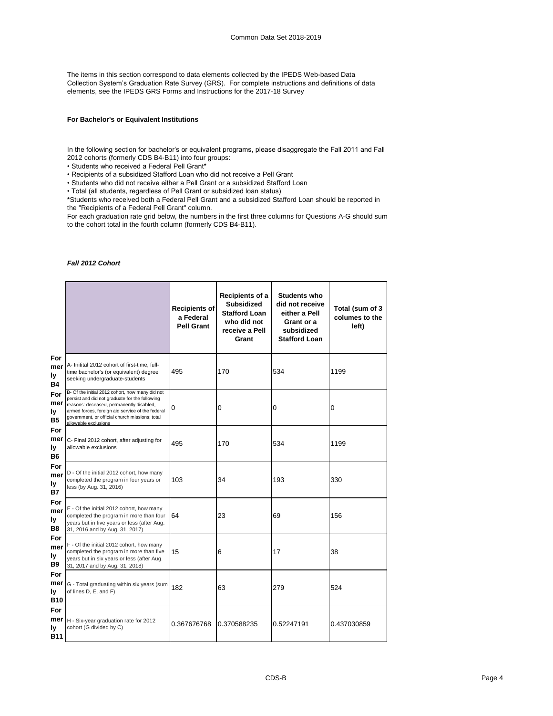The items in this section correspond to data elements collected by the IPEDS Web-based Data Collection System's Graduation Rate Survey (GRS). For complete instructions and definitions of data elements, see the IPEDS GRS Forms and Instructions for the 2017-18 Survey

## **For Bachelor's or Equivalent Institutions**

In the following section for bachelor's or equivalent programs, please disaggregate the Fall 2011 and Fall 2012 cohorts (formerly CDS B4-B11) into four groups:

• Students who received a Federal Pell Grant\*

• Recipients of a subsidized Stafford Loan who did not receive a Pell Grant

• Students who did not receive either a Pell Grant or a subsidized Stafford Loan

• Total (all students, regardless of Pell Grant or subsidized loan status)

\*Students who received both a Federal Pell Grant and a subsidized Stafford Loan should be reported in the "Recipients of a Federal Pell Grant" column.

For each graduation rate grid below, the numbers in the first three columns for Questions A-G should sum to the cohort total in the fourth column (formerly CDS B4-B11).

## *Fall 2012 Cohort*

|                                |                                                                                                                                                                                                                                                                             | <b>Recipients of</b><br>a Federal<br><b>Pell Grant</b> | Recipients of a<br><b>Subsidized</b><br><b>Stafford Loan</b><br>who did not<br>receive a Pell<br>Grant | Students who<br>did not receive<br>either a Pell<br>Grant or a<br>subsidized<br><b>Stafford Loan</b> | Total (sum of 3<br>columes to the<br>left) |
|--------------------------------|-----------------------------------------------------------------------------------------------------------------------------------------------------------------------------------------------------------------------------------------------------------------------------|--------------------------------------------------------|--------------------------------------------------------------------------------------------------------|------------------------------------------------------------------------------------------------------|--------------------------------------------|
| For<br>mer<br>ly<br>Β4         | A- Initital 2012 cohort of first-time, full-<br>time bachelor's (or equivalent) degree<br>seeking undergraduate-students                                                                                                                                                    | 495                                                    | 170                                                                                                    | 534                                                                                                  | 1199                                       |
| For<br>mer<br>ly.<br><b>B5</b> | B- Of the initial 2012 cohort, how many did not<br>persist and did not graduate for the following<br>reasons: deceased, permanently disabled,<br>armed forces, foreign aid service of the federal<br>government, or official church missions; total<br>allowable exclusions | 0                                                      | 0                                                                                                      | 0                                                                                                    | 0                                          |
| For<br>mer<br>ly<br><b>B6</b>  | C- Final 2012 cohort, after adjusting for<br>allowable exclusions                                                                                                                                                                                                           | 495                                                    | 170                                                                                                    | 534                                                                                                  | 1199                                       |
| For<br>mer<br>ly<br><b>B7</b>  | D - Of the initial 2012 cohort, how many<br>completed the program in four years or<br>less (by Aug. 31, 2016)                                                                                                                                                               | 103                                                    | 34                                                                                                     | 193                                                                                                  | 330                                        |
| For<br>mer<br>ly<br><b>B8</b>  | E - Of the initial 2012 cohort, how many<br>completed the program in more than four<br>years but in five years or less (after Aug.<br>31, 2016 and by Aug. 31, 2017)                                                                                                        | 64                                                     | 23                                                                                                     | 69                                                                                                   | 156                                        |
| For<br>mer<br>ly<br><b>B9</b>  | F - Of the initial 2012 cohort, how many<br>completed the program in more than five<br>years but in six years or less (after Aug.<br>31, 2017 and by Aug. 31, 2018)                                                                                                         | 15                                                     | 6                                                                                                      | 17                                                                                                   | 38                                         |
| For<br>mer<br>ly<br><b>B10</b> | G - Total graduating within six years (sum<br>of lines D, E, and F)                                                                                                                                                                                                         | 182                                                    | 63                                                                                                     | 279                                                                                                  | 524                                        |
| For<br>mer<br>ly<br>B11        | H - Six-year graduation rate for 2012<br>cohort (G divided by C)                                                                                                                                                                                                            | 0.367676768                                            | 0.370588235                                                                                            | 0.52247191                                                                                           | 0.437030859                                |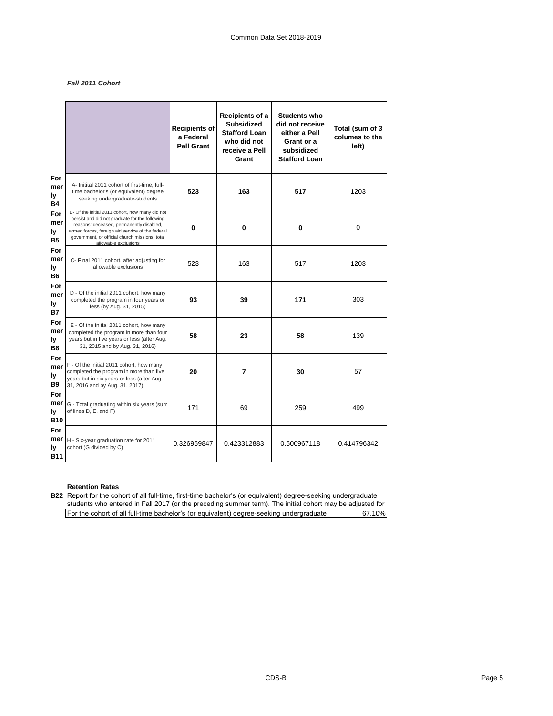# *Fall 2011 Cohort*

|                                    |                                                                                                                                                                                                                                                                             | <b>Recipients of</b><br>a Federal<br><b>Pell Grant</b> | Recipients of a<br><b>Subsidized</b><br><b>Stafford Loan</b><br>who did not<br>receive a Pell<br>Grant | <b>Students who</b><br>did not receive<br>either a Pell<br>Grant or a<br>subsidized<br><b>Stafford Loan</b> | Total (sum of 3<br>columes to the<br>left) |
|------------------------------------|-----------------------------------------------------------------------------------------------------------------------------------------------------------------------------------------------------------------------------------------------------------------------------|--------------------------------------------------------|--------------------------------------------------------------------------------------------------------|-------------------------------------------------------------------------------------------------------------|--------------------------------------------|
| For<br>mer<br>ly<br>Β4             | A- Initital 2011 cohort of first-time, full-<br>time bachelor's (or equivalent) degree<br>seeking undergraduate-students                                                                                                                                                    | 523                                                    | 163                                                                                                    | 517                                                                                                         | 1203                                       |
| For<br>mer<br>ly<br><b>B5</b>      | B- Of the initial 2011 cohort, how many did not<br>persist and did not graduate for the following<br>reasons: deceased, permanently disabled,<br>armed forces, foreign aid service of the federal<br>government, or official church missions; total<br>allowable exclusions | 0                                                      | 0                                                                                                      | 0                                                                                                           | 0                                          |
| For<br>mer<br>ly<br><b>B6</b>      | C- Final 2011 cohort, after adjusting for<br>allowable exclusions                                                                                                                                                                                                           | 523                                                    | 163                                                                                                    | 517                                                                                                         | 1203                                       |
| For<br>mer<br>ly<br><b>B7</b>      | D - Of the initial 2011 cohort, how many<br>completed the program in four years or<br>less (by Aug. 31, 2015)                                                                                                                                                               | 93                                                     | 39                                                                                                     | 171                                                                                                         | 303                                        |
| For<br>mer<br>ly<br>B <sub>8</sub> | E - Of the initial 2011 cohort, how many<br>completed the program in more than four<br>years but in five years or less (after Aug.<br>31, 2015 and by Aug. 31, 2016)                                                                                                        | 58                                                     | 23                                                                                                     | 58                                                                                                          | 139                                        |
| For<br>mer<br>ly<br>B9             | F - Of the initial 2011 cohort, how many<br>completed the program in more than five<br>years but in six years or less (after Aug.<br>31, 2016 and by Aug. 31, 2017)                                                                                                         | 20                                                     | 7                                                                                                      | 30                                                                                                          | 57                                         |
| For<br>mer<br>ly<br><b>B10</b>     | G - Total graduating within six years (sum<br>of lines D, E, and F)                                                                                                                                                                                                         | 171                                                    | 69                                                                                                     | 259                                                                                                         | 499                                        |
| For<br>mer<br>ly<br><b>B11</b>     | H - Six-year graduation rate for 2011<br>cohort (G divided by C)                                                                                                                                                                                                            | 0.326959847                                            | 0.423312883                                                                                            | 0.500967118                                                                                                 | 0.414796342                                |

# **Retention Rates**

**B22** Report for the cohort of all full-time, first-time bachelor's (or equivalent) degree-seeking undergraduate For the cohort of all full-time bachelor's (or equivalent) degree-seeking undergraduate | 67.10% students who entered in Fall 2017 (or the preceding summer term). The initial cohort may be adjusted for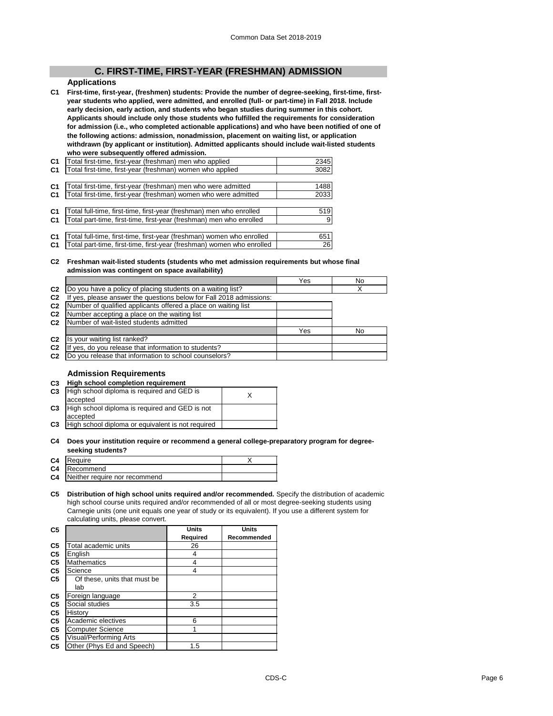# **C. FIRST-TIME, FIRST-YEAR (FRESHMAN) ADMISSION**

# **Applications**

**C1 First-time, first-year, (freshmen) students: Provide the number of degree-seeking, first-time, firstyear students who applied, were admitted, and enrolled (full- or part-time) in Fall 2018. Include early decision, early action, and students who began studies during summer in this cohort. Applicants should include only those students who fulfilled the requirements for consideration for admission (i.e., who completed actionable applications) and who have been notified of one of the following actions: admission, nonadmission, placement on waiting list, or application withdrawn (by applicant or institution). Admitted applicants should include wait-listed students who were subsequently offered admission.**

| C <sub>1</sub> | Total first-time, first-year (freshman) men who applied               | 2345 |
|----------------|-----------------------------------------------------------------------|------|
| C <sub>1</sub> | Total first-time, first-year (freshman) women who applied             | 3082 |
|                |                                                                       |      |
| C <sub>1</sub> | Total first-time, first-year (freshman) men who were admitted         | 1488 |
| C <sub>1</sub> | Total first-time, first-year (freshman) women who were admitted       | 2033 |
|                |                                                                       |      |
| C <sub>1</sub> | Total full-time, first-time, first-year (freshman) men who enrolled   | 519  |
| C <sub>1</sub> | Total part-time, first-time, first-year (freshman) men who enrolled   | 9    |
|                |                                                                       |      |
| C <sub>1</sub> | Total full-time, first-time, first-year (freshman) women who enrolled | 651  |
| C <sub>1</sub> | Total part-time, first-time, first-year (freshman) women who enrolled | 26   |

#### **C2 Freshman wait-listed students (students who met admission requirements but whose final admission was contingent on space availability)**

|                |                                                                     | Yes | No |
|----------------|---------------------------------------------------------------------|-----|----|
| C2             | Do you have a policy of placing students on a waiting list?         |     | х  |
| C <sub>2</sub> | If yes, please answer the questions below for Fall 2018 admissions: |     |    |
| C <sub>2</sub> | Number of qualified applicants offered a place on waiting list      |     |    |
| C <sub>2</sub> | Number accepting a place on the waiting list                        |     |    |
| C <sub>2</sub> | Number of wait-listed students admitted                             |     |    |
|                |                                                                     | Yes | No |
| C <sub>2</sub> | Is your waiting list ranked?                                        |     |    |
| C <sub>2</sub> | yes, do you release that information to students?                   |     |    |
| C <sub>2</sub> | Do you release that information to school counselors?               |     |    |
|                |                                                                     |     |    |

## **Admission Requirements**

#### **C3 High school completion requirement**

| C <sub>3</sub> | High school diploma is required and GED is        |  |
|----------------|---------------------------------------------------|--|
|                | accepted                                          |  |
| C <sub>3</sub> | High school diploma is required and GED is not    |  |
|                | accepted                                          |  |
| C <sub>3</sub> | High school diploma or equivalent is not required |  |
|                |                                                   |  |

#### **C4 Does your institution require or recommend a general college-preparatory program for degreeseeking students?**

| C <sub>4</sub> | Require                                 |  |
|----------------|-----------------------------------------|--|
|                | C4 Recommend                            |  |
|                | <b>C4</b> Neither require nor recommend |  |

**C5 Distribution of high school units required and/or recommended.** Specify the distribution of academic high school course units required and/or recommended of all or most degree-seeking students using Carnegie units (one unit equals one year of study or its equivalent). If you use a different system for calculating units, please convert.

| C <sub>5</sub> |                              | <b>Units</b> | <b>Units</b> |
|----------------|------------------------------|--------------|--------------|
|                |                              | Required     | Recommended  |
| C5             | Total academic units         | 26           |              |
| C <sub>5</sub> | English                      | 4            |              |
| C5             | <b>Mathematics</b>           | 4            |              |
| C5             | Science                      | 4            |              |
| C5             | Of these, units that must be |              |              |
|                | lab                          |              |              |
| C <sub>5</sub> | Foreign language             | 2            |              |
| C5             | Social studies               | 3.5          |              |
| C <sub>5</sub> | History                      |              |              |
| C <sub>5</sub> | Academic electives           | 6            |              |
| C <sub>5</sub> | <b>Computer Science</b>      |              |              |
| C <sub>5</sub> | Visual/Performing Arts       |              |              |
| C <sub>5</sub> | Other (Phys Ed and Speech)   | 1.5          |              |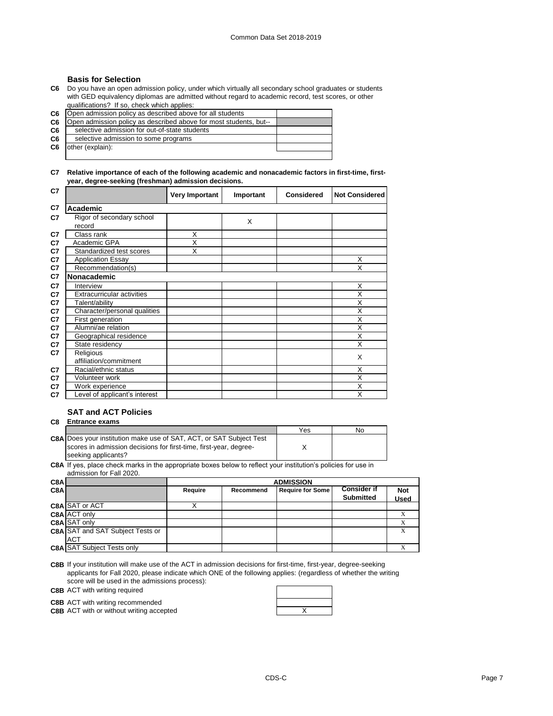## **Basis for Selection**

**C6** Do you have an open admission policy, under which virtually all secondary school graduates or students with GED equivalency diplomas are admitted without regard to academic record, test scores, or other qualifications? If so, check which applies:

**C6 C6 C6 C6** Open admission policy as described above for most students, but-- Open admission policy as described above for all students selective admission for out-of-state students selective admission to some programs

**C6** other (explain):

## **C7 Relative importance of each of the following academic and nonacademic factors in first-time, firstyear, degree-seeking (freshman) admission decisions.**

| C7 |                                   | Very Important | Important | <b>Considered</b> | <b>Not Considered</b> |
|----|-----------------------------------|----------------|-----------|-------------------|-----------------------|
| C7 | Academic                          |                |           |                   |                       |
| C7 | Rigor of secondary school         |                | X         |                   |                       |
|    | record                            |                |           |                   |                       |
| C7 | Class rank                        | X              |           |                   |                       |
| C7 | Academic GPA                      | X              |           |                   |                       |
| C7 | Standardized test scores          | X              |           |                   |                       |
| C7 | <b>Application Essay</b>          |                |           |                   | X                     |
| C7 | Recommendation(s)                 |                |           |                   | X                     |
| C7 | Nonacademic                       |                |           |                   |                       |
| C7 | Interview                         |                |           |                   | X                     |
| C7 | <b>Extracurricular activities</b> |                |           |                   | X                     |
| C7 | Talent/ability                    |                |           |                   | X                     |
| C7 | Character/personal qualities      |                |           |                   | X                     |
| C7 | First generation                  |                |           |                   | X                     |
| C7 | Alumni/ae relation                |                |           |                   | X                     |
| C7 | Geographical residence            |                |           |                   | X                     |
| C7 | State residency                   |                |           |                   | X                     |
| C7 | Religious                         |                |           |                   | X                     |
|    | affiliation/commitment            |                |           |                   |                       |
| C7 | Racial/ethnic status              |                |           |                   | X                     |
| C7 | Volunteer work                    |                |           |                   | X                     |
| C7 | Work experience                   |                |           |                   | X                     |
| C7 | Level of applicant's interest     |                |           |                   | X                     |

# **SAT and ACT Policies**

# **C8 Entrance exams**

|                                                                            | Yes | No |
|----------------------------------------------------------------------------|-----|----|
| <b>C8A Does your institution make use of SAT, ACT, or SAT Subject Test</b> |     |    |
| scores in admission decisions for first-time, first-year, degree-          |     |    |
| seeking applicants?                                                        |     |    |

**C8A** If yes, place check marks in the appropriate boxes below to reflect your institution's policies for use in admission for Fall 2020.

| C8A |                                         |         | <b>ADMISSION</b> |                         |                    |             |  |
|-----|-----------------------------------------|---------|------------------|-------------------------|--------------------|-------------|--|
| C8A |                                         | Require | Recommend        | <b>Require for Some</b> | <b>Consider if</b> | <b>Not</b>  |  |
|     |                                         |         |                  |                         | <b>Submitted</b>   | <b>Used</b> |  |
|     | C8A SAT or ACT                          |         |                  |                         |                    |             |  |
|     | <b>C8A ACT only</b>                     |         |                  |                         |                    |             |  |
|     | C8A SAT only                            |         |                  |                         |                    |             |  |
|     | <b>C8A</b> SAT and SAT Subject Tests or |         |                  |                         |                    |             |  |
|     | <b>ACT</b>                              |         |                  |                         |                    |             |  |
|     | <b>C8A SAT Subject Tests only</b>       |         |                  |                         |                    |             |  |

**C8B** If your institution will make use of the ACT in admission decisions for first-time, first-year, degree-seeking applicants for Fall 2020, please indicate which ONE of the following applies: (regardless of whether the writing score will be used in the admissions process):

**C8B** ACT with writing required

**C8B** ACT with writing recommended

**C8B** ACT with or without writing accepted **ACT ACT ACT ACT ACT ACT ACT ACT ACT ACT ACT ACT ACT ACT ACT ACT ACT ACT ACT ACT ACT ACT ACT ACT ACT ACT ACT ACT ACT ACT** 

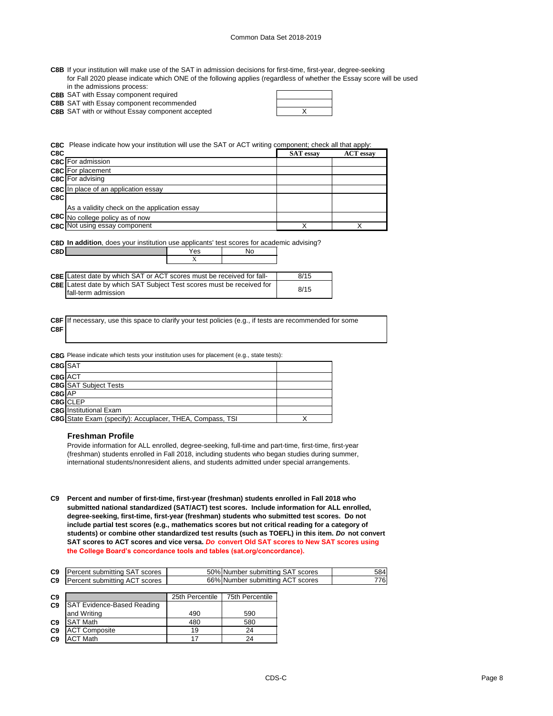| C8B If your institution will make use of the SAT in admission decisions for first-time, first-year, degree-seeking   |
|----------------------------------------------------------------------------------------------------------------------|
| for Fall 2020 please indicate which ONE of the following applies (regardless of whether the Essay score will be used |
| in the admissions process:                                                                                           |

| <b>C8B</b> SAT with Essay component required |
|----------------------------------------------|

**C8B** SAT with Essay component recommended

**C8B** SAT with or without Essay component accepted **EXA CONG TO A SET A CONGREGAT TO A SET A** X

**C8C** Please indicate how your institution will use the SAT or ACT writing component; check all that apply:

| C8C |                                              | <b>SAT</b> essay | <b>ACT</b> essay |
|-----|----------------------------------------------|------------------|------------------|
|     | <b>C8C</b> For admission                     |                  |                  |
|     | <b>C8C</b> For placement                     |                  |                  |
|     | C8C For advising                             |                  |                  |
|     | <b>C8C</b> In place of an application essay  |                  |                  |
| C8C |                                              |                  |                  |
|     | As a validity check on the application essay |                  |                  |
|     | C8C No college policy as of now              |                  |                  |
|     | <b>C8C</b> Not using essay component         |                  |                  |

**C8D In addition**, does your institution use applicants' test scores for academic advising?

| C8D | es                   | ۸I٢ |
|-----|----------------------|-----|
|     | $\ddot{\phantom{0}}$ |     |

| <b>C8E</b> Latest date by which SAT or ACT scores must be received for fall- | 8/15 |
|------------------------------------------------------------------------------|------|
| C8E Latest date by which SAT Subject Test scores must be received for        | 8/15 |
| Ifall-term admission                                                         |      |

**C8F C8F** If necessary, use this space to clarify your test policies (e.g., if tests are recommended for some

**C8G** Please indicate which tests your institution uses for placement (e.g., state tests):

| C8G SAT |                                                          |  |
|---------|----------------------------------------------------------|--|
| C8G ACT |                                                          |  |
|         | <b>C8G</b> SAT Subject Tests                             |  |
| C8G AP  |                                                          |  |
|         | C8G CLEP                                                 |  |
|         | <b>C8G</b> Institutional Exam                            |  |
|         | C8G State Exam (specify): Accuplacer, THEA, Compass, TSI |  |

#### **Freshman Profile**

Provide information for ALL enrolled, degree-seeking, full-time and part-time, first-time, first-year (freshman) students enrolled in Fall 2018, including students who began studies during summer, international students/nonresident aliens, and students admitted under special arrangements.

**C9 Percent and number of first-time, first-year (freshman) students enrolled in Fall 2018 who submitted national standardized (SAT/ACT) test scores. Include information for ALL enrolled, degree-seeking, first-time, first-year (freshman) students who submitted test scores. Do not include partial test scores (e.g., mathematics scores but not critical reading for a category of students) or combine other standardized test results (such as TOEFL) in this item.** *Do* **not convert SAT scores to ACT scores and vice versa.** *Do* **convert Old SAT scores to New SAT scores using the College Board's concordance tools and tables (sat.org/concordance).**

| C <sub>9</sub> | Percent submitting SAT scores | 50% Number submitting SAT scores | 5841 |
|----------------|-------------------------------|----------------------------------|------|
| C <sub>9</sub> | Percent submitting ACT scores | 66% Number submitting ACT scores | 776I |

| C <sub>9</sub> |                                   | 25th Percentile | 75th Percentile |
|----------------|-----------------------------------|-----------------|-----------------|
| C <sub>9</sub> | <b>SAT Evidence-Based Reading</b> |                 |                 |
|                | and Writing                       | 490             | 590             |
| C <sub>9</sub> | <b>SAT Math</b>                   | 480             | 580             |
| C <sub>9</sub> | <b>ACT Composite</b>              | 19              | 24              |
| C <sub>9</sub> | <b>ACT Math</b>                   |                 | 24              |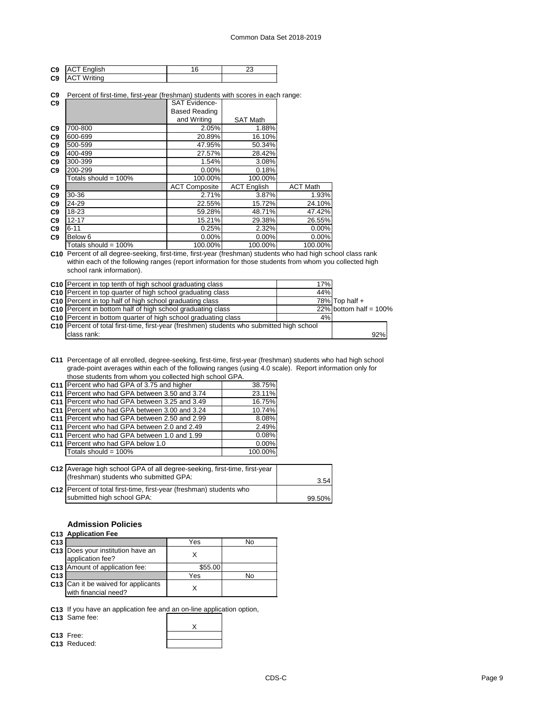| C <sub>9</sub> | <b>ACT English</b> | c | . |
|----------------|--------------------|---|---|
| C <sub>9</sub> | <b>ACT Writing</b> |   |   |

#### **C9** Percent of first-time, first-year (freshman) students with scores in each range:

| C9             |                         | <b>SAT Evidence-</b> |                    |                 |
|----------------|-------------------------|----------------------|--------------------|-----------------|
|                |                         | <b>Based Reading</b> |                    |                 |
|                |                         | and Writing          | <b>SAT Math</b>    |                 |
| C <sub>9</sub> | 700-800                 | 2.05%                | 1.88%              |                 |
| C <sub>9</sub> | 600-699                 | 20.89%               | 16.10%             |                 |
| C <sub>9</sub> | 500-599                 | 47.95%               | 50.34%             |                 |
| C <sub>9</sub> | 400-499                 | 27.57%               | 28.42%             |                 |
| C <sub>9</sub> | 300-399                 | 1.54%                | 3.08%              |                 |
| C9             | 200-299                 | $0.00\%$             | 0.18%              |                 |
|                | Totals should = $100\%$ | 100.00%              | 100.00%            |                 |
| C <sub>9</sub> |                         | <b>ACT Composite</b> | <b>ACT English</b> | <b>ACT Math</b> |
| C <sub>9</sub> | 30-36                   | 2.71%                | 3.87%              | 1.93%           |
| C <sub>9</sub> | 24-29                   | 22.55%               | 15.72%             | 24.10%          |
| C <sub>9</sub> | 18-23                   | 59.28%               | 48.71%             | 47.42%          |
| C <sub>9</sub> | $12 - 17$               | 15.21%               | 29.38%             | 26.55%          |
| C <sub>9</sub> | $6 - 11$                | 0.25%                | 2.32%              | 0.00%           |
| C <sub>9</sub> | Below <sub>6</sub>      | $0.00\%$             | $0.00\%$           | 0.00%           |
|                | Totals should = $100\%$ | 100.00%              | 100.00%            | 100.00%         |

**C10** Percent of all degree-seeking, first-time, first-year (freshman) students who had high school class rank within each of the following ranges (report information for those students from whom you collected high school rank information).

| C10 Percent in top tenth of high school graduating class                                         | 17% |                           |
|--------------------------------------------------------------------------------------------------|-----|---------------------------|
| C <sub>10</sub> Percent in top quarter of high school graduating class                           | 44% |                           |
| C <sub>10</sub> Percent in top half of high school graduating class                              |     | 78% Top half $+$          |
| C10 Percent in bottom half of high school graduating class                                       |     | $22\%$ bottom half = 100% |
| C10 Percent in bottom quarter of high school graduating class                                    | 4%  |                           |
| <b>C10</b> Percent of total first-time, first-year (freshmen) students who submitted high school |     |                           |
| class rank:                                                                                      |     | 92%                       |

**C11** Percentage of all enrolled, degree-seeking, first-time, first-year (freshman) students who had high school grade-point averages within each of the following ranges (using 4.0 scale). Report information only for those students from whom you collected high school GPA.

| C11 Percent who had GPA of 3.75 and higher    | 38.75%  |
|-----------------------------------------------|---------|
| C11 Percent who had GPA between 3.50 and 3.74 | 23.11%  |
| C11 Percent who had GPA between 3.25 and 3.49 | 16.75%  |
| C11 Percent who had GPA between 3.00 and 3.24 | 10.74%  |
| C11 Percent who had GPA between 2.50 and 2.99 | 8.08%   |
| C11 Percent who had GPA between 2.0 and 2.49  | 2.49%   |
| C11 Percent who had GPA between 1.0 and 1.99  | 0.08%   |
| C11 Percent who had GPA below 1.0             | 0.00%   |
| Totals should = $100\%$                       | 100.00% |
|                                               |         |

| C12 Average high school GPA of all degree-seeking, first-time, first-year |        |
|---------------------------------------------------------------------------|--------|
| (freshman) students who submitted GPA:                                    | 3.54   |
| C12 Percent of total first-time, first-year (freshman) students who       |        |
| submitted high school GPA:                                                | 99.50% |

## **Admission Policies**

|  | Annlication Fee ہ |  |
|--|-------------------|--|

|                 | C13 Application Fee                                         |         |    |
|-----------------|-------------------------------------------------------------|---------|----|
| C <sub>13</sub> |                                                             | Yes     | N٥ |
|                 | C13 Does your institution have an<br>application fee?       |         |    |
|                 | C13 Amount of application fee:                              | \$55.00 |    |
| C <sub>13</sub> |                                                             | Yes     | N٥ |
|                 | C13 Can it be waived for applicants<br>with financial need? |         |    |

 $\mathbf{I}$ 

**C13** If you have an application fee and an on-line application option,

**C13** Same fee:

| C <sub>13</sub> Free: |  |
|-----------------------|--|
| C13 Reduced:          |  |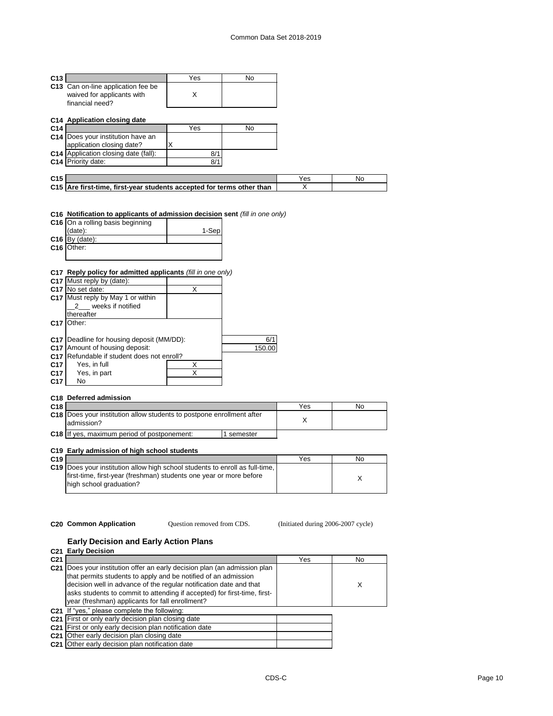| C <sub>13</sub> |                                                                                     | Yes   | No |     |     |
|-----------------|-------------------------------------------------------------------------------------|-------|----|-----|-----|
|                 | C13 Can on-line application fee be<br>waived for applicants with<br>financial need? | X     |    |     |     |
|                 | C14 Application closing date                                                        |       |    |     |     |
| C <sub>14</sub> |                                                                                     | Yes   | No |     |     |
|                 | <b>C14</b> Does your institution have an                                            |       |    |     |     |
|                 | application closing date?                                                           | X     |    |     |     |
|                 | <b>C14</b> Application closing date (fall):                                         | 8/1   |    |     |     |
|                 | C14 Priority date:                                                                  | 8/1   |    |     |     |
|                 |                                                                                     |       |    |     |     |
| C <sub>15</sub> |                                                                                     |       |    | Yes | No. |
|                 | C15 Are first-time, first-year students accepted for terms other than               |       |    | х   |     |
|                 | C16 Notification to applicants of admission decision sent (fill in one only)        |       |    |     |     |
|                 | C <sub>16</sub> On a rolling basis beginning                                        |       |    |     |     |
|                 | (data):                                                                             | 1-Sep |    |     |     |
|                 | $Q_{AB}$ $D_{U}$ $(det_{D})$                                                        |       |    |     |     |

| $C16$ By (date): |  |
|------------------|--|
| C16 Other:       |  |
|                  |  |

## **C17 Reply policy for admitted applicants** *(fill in one only)*

|                 | C17 Must reply by (date):                        |   |        |
|-----------------|--------------------------------------------------|---|--------|
|                 | C <sub>17</sub> No set date:                     | x |        |
|                 | C17 Must reply by May 1 or within                |   |        |
|                 | weeks if notified                                |   |        |
|                 | thereafter                                       |   |        |
| C <sub>17</sub> | Other:                                           |   |        |
|                 |                                                  |   |        |
|                 | <b>C17</b> Deadline for housing deposit (MM/DD): |   | 6/1    |
| C <sub>17</sub> | Amount of housing deposit:                       |   | 150.00 |
| C <sub>17</sub> | Refundable if student does not enroll?           |   |        |
| C <sub>17</sub> | Yes, in full                                     | x |        |
| C <sub>17</sub> | Yes, in part                                     | Χ |        |
| C <sub>17</sub> | No                                               |   |        |
|                 |                                                  |   |        |

# **C18 Deferred admission**

| C <sub>18</sub> |                                                                                            |          | Yes | No |
|-----------------|--------------------------------------------------------------------------------------------|----------|-----|----|
|                 | <b>C18</b> Does your institution allow students to postpone enrollment after<br>admission? |          |     |    |
|                 | <b>C18</b> If yes, maximum period of postponement:                                         | semester |     |    |

# **C19 Early admission of high school students**

| C <sub>19</sub> |                                                                                                                                                           | Yes | No |
|-----------------|-----------------------------------------------------------------------------------------------------------------------------------------------------------|-----|----|
|                 | <b>C19</b> Does your institution allow high school students to enroll as full-time.<br>first-time, first-year (freshman) students one year or more before |     |    |
|                 | high school graduation?                                                                                                                                   |     |    |

Question removed from CDS.

**C20 Common Application** (Initiated during 2006-2007 cycle)

## **Early Decision and Early Action Plans**

|                 | C <sub>21</sub> Early Decision                                                                                                                                                                                                                                                                                                                   |     |    |
|-----------------|--------------------------------------------------------------------------------------------------------------------------------------------------------------------------------------------------------------------------------------------------------------------------------------------------------------------------------------------------|-----|----|
| C <sub>21</sub> |                                                                                                                                                                                                                                                                                                                                                  | Yes | No |
|                 | C21 Does your institution offer an early decision plan (an admission plan<br>that permits students to apply and be notified of an admission<br>decision well in advance of the regular notification date and that<br>asks students to commit to attending if accepted) for first-time, first-<br>year (freshman) applicants for fall enrollment? |     | X  |
|                 | C21 If "yes," please complete the following:                                                                                                                                                                                                                                                                                                     |     |    |
|                 | C21 First or only early decision plan closing date                                                                                                                                                                                                                                                                                               |     |    |
|                 | C <sub>21</sub> First or only early decision plan notification date                                                                                                                                                                                                                                                                              |     |    |
|                 | C <sub>21</sub> Other early decision plan closing date                                                                                                                                                                                                                                                                                           |     |    |
|                 | C21 Other early decision plan notification date                                                                                                                                                                                                                                                                                                  |     |    |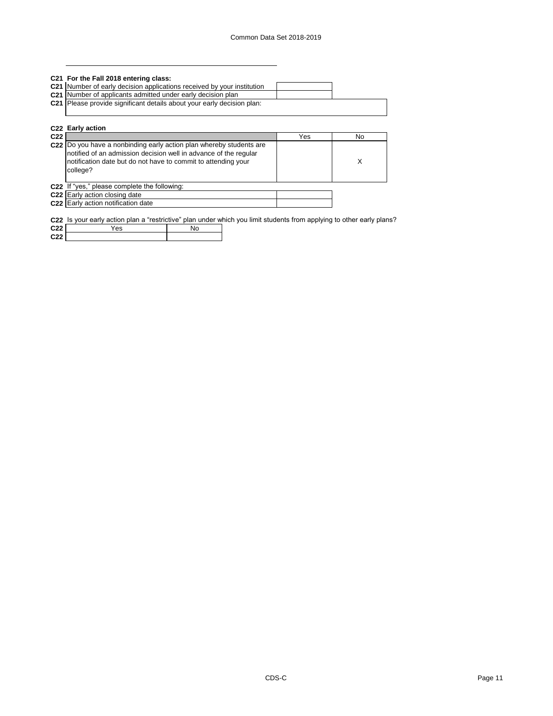| C21 For the Fall 2018 entering class:                                  |  |
|------------------------------------------------------------------------|--|
| C21 Number of early decision applications received by your institution |  |
| C21 Number of applicants admitted under early decision plan            |  |
| C21 Please provide significant details about your early decision plan: |  |
|                                                                        |  |
|                                                                        |  |

| C22 Early action<br>C <sub>22</sub> |                                                                                                                                                                                                                      | Yes | No |
|-------------------------------------|----------------------------------------------------------------------------------------------------------------------------------------------------------------------------------------------------------------------|-----|----|
|                                     | C22 Do you have a nonbinding early action plan whereby students are<br>notified of an admission decision well in advance of the regular<br>notification date but do not have to commit to attending your<br>college? |     | χ  |
|                                     | C22 If "yes," please complete the following:                                                                                                                                                                         |     |    |
|                                     | C <sub>22</sub> Early action closing date                                                                                                                                                                            |     |    |
|                                     | C22 Early action notification date                                                                                                                                                                                   |     |    |

**C22** Is your early action plan a "restrictive" plan under which you limit students from applying to other early plans?

| C <sub>22</sub><br>--  | es |  |
|------------------------|----|--|
| C <sub>22</sub><br>--- |    |  |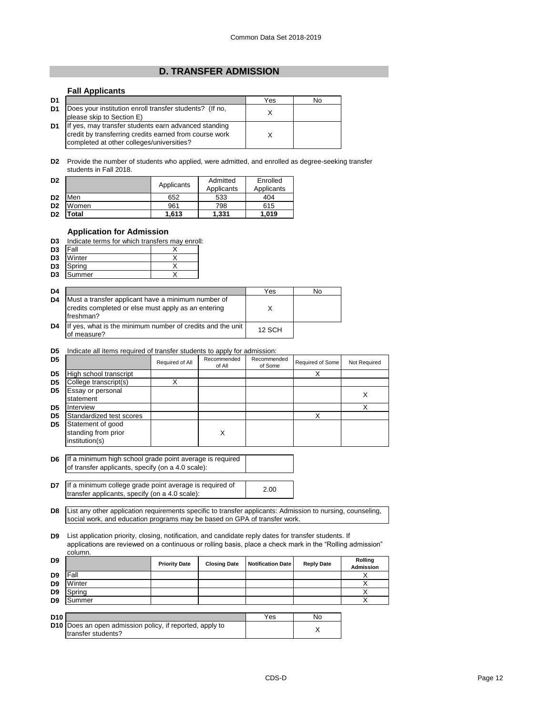# **D. TRANSFER ADMISSION**

## **Fall Applicants**

| D <sub>1</sub> |                                                                                                                                                             | Yes | No |
|----------------|-------------------------------------------------------------------------------------------------------------------------------------------------------------|-----|----|
| D <sub>1</sub> | Does your institution enroll transfer students? (If no,<br>please skip to Section E)                                                                        |     |    |
| D <sub>1</sub> | If yes, may transfer students earn advanced standing<br>credit by transferring credits earned from course work<br>completed at other colleges/universities? |     |    |

**D2** Provide the number of students who applied, were admitted, and enrolled as degree-seeking transfer students in Fall 2018.

| D <sub>2</sub> |       | Applicants | Admitted<br>Applicants | Enrolled<br>Applicants |
|----------------|-------|------------|------------------------|------------------------|
| D <sub>2</sub> | Men   | 652        | 533                    | 404                    |
| D <sub>2</sub> | Women | 961        | 798                    | 615                    |
| D <sub>2</sub> | 'otal | 1.613      | 1,331                  | 1,019                  |

## **Application for Admission**

| D3             | Indicate terms for which transfers may enroll: |  |
|----------------|------------------------------------------------|--|
| D <sub>3</sub> | <b>Fall</b>                                    |  |
|                | <b>D3</b> Winter                               |  |

| --                   | .    | . |
|----------------------|------|---|
| ۰O<br>- -            | innn |   |
| D <sub>2</sub><br>UJ | nmer |   |
|                      |      |   |

| D <sub>4</sub> |                                                                                                                        | Yes           | No |
|----------------|------------------------------------------------------------------------------------------------------------------------|---------------|----|
| D <sub>4</sub> | Must a transfer applicant have a minimum number of<br>credits completed or else must apply as an entering<br>freshman? |               |    |
| D <sub>4</sub> | If yes, what is the minimum number of credits and the unit<br>of measure?                                              | <b>12 SCH</b> |    |

#### **D5** Indicate all items required of transfer students to apply for admission:

|                                       | Required of All          | Recommended<br>of All | Recommended<br>of Some | Required of Some | Not Required |
|---------------------------------------|--------------------------|-----------------------|------------------------|------------------|--------------|
| High school transcript                |                          |                       |                        |                  |              |
| College transcript(s)                 |                          |                       |                        |                  |              |
| Essay or personal                     |                          |                       |                        |                  |              |
| statement                             |                          |                       |                        |                  | ⋏            |
| Interview                             |                          |                       |                        |                  |              |
|                                       |                          |                       |                        |                  |              |
| Statement of good                     |                          |                       |                        |                  |              |
| standing from prior<br>institution(s) |                          | Χ                     |                        |                  |              |
|                                       | Standardized test scores |                       |                        |                  |              |

**D6** If a minimum high school grade point average is required of transfer applicants, specify (on a 4.0 scale):

**D7** If a minimum college grade point average is required of <br>transfer applicants, aposity (ap a 4.0 socle): transfer applicants, specify (on a 4.0 scale):

**D8** List any other application requirements specific to transfer applicants: Admission to nursing, counseling, social work, and education programs may be based on GPA of transfer work.

**D9** List application priority, closing, notification, and candidate reply dates for transfer students. If applications are reviewed on a continuous or rolling basis, place a check mark in the "Rolling admission" column.

| D <sub>9</sub>  |        | <b>Priority Date</b> | <b>Closing Date</b> | <b>Notification Date</b> | <b>Reply Date</b> | Rolling<br>Admission |
|-----------------|--------|----------------------|---------------------|--------------------------|-------------------|----------------------|
| D <sub>9</sub>  | Fall   |                      |                     |                          |                   |                      |
| D <sub>9</sub>  | Winter |                      |                     |                          |                   |                      |
| D <sub>9</sub>  | Spring |                      |                     |                          |                   |                      |
| D <sub>9</sub>  | Summer |                      |                     |                          |                   |                      |
|                 |        |                      |                     |                          |                   |                      |
| D <sub>10</sub> |        |                      |                     | Yes                      | N٥                |                      |

| D <sub>10</sub> |                                                                 | Yes | Nο |
|-----------------|-----------------------------------------------------------------|-----|----|
|                 | <b>D10</b> Does an open admission policy, if reported, apply to |     |    |
|                 | transfer students?                                              |     |    |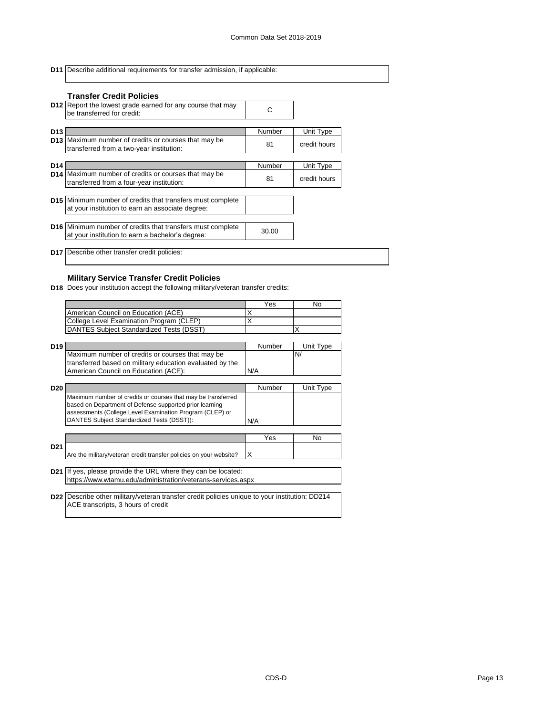**D11** Describe additional requirements for transfer admission, if applicable: **D12** Report the lowest grade earned for any course that may  $\begin{matrix} \bullet & \bullet \\ \bullet & \bullet & \bullet \end{matrix}$ **D13** Number Unit Type **D13** <sup>81</sup> credit hours Maximum number of credits or courses that may be **D14** Number Unit Type **D14** <sup>81</sup> credit hours Maximum number of credits or courses that may be **D15** Minimum number of credits that transfers must complete **D16** Minimum number of credits that transfers must complete <br>et unus institution to care a backelar's degree: **D17** Describe other transfer credit policies: be transferred for credit: transferred from a two-year institution: transferred from a four-year institution: at your institution to earn an associate degree: at your institution to earn a bachelor's degree: **Transfer Credit Policies**

# **Military Service Transfer Credit Policies**

**D18** Does your institution accept the following military/veteran transfer credits:

|                 |                                                                                                                                                                                     | Yes    | No.       |
|-----------------|-------------------------------------------------------------------------------------------------------------------------------------------------------------------------------------|--------|-----------|
|                 | American Council on Education (ACE)                                                                                                                                                 | х      |           |
|                 | College Level Examination Program (CLEP)                                                                                                                                            | x      |           |
|                 | DANTES Subject Standardized Tests (DSST)                                                                                                                                            |        | x         |
|                 |                                                                                                                                                                                     |        |           |
| D <sub>19</sub> |                                                                                                                                                                                     | Number | Unit Type |
|                 | Maximum number of credits or courses that may be                                                                                                                                    |        | N/        |
|                 | transferred based on military education evaluated by the                                                                                                                            |        |           |
|                 | American Council on Education (ACE):                                                                                                                                                | N/A    |           |
|                 |                                                                                                                                                                                     |        |           |
| D <sub>20</sub> |                                                                                                                                                                                     | Number | Unit Type |
|                 | Maximum number of credits or courses that may be transferred<br>based on Department of Defense supported prior learning<br>assessments (College Level Examination Program (CLEP) or |        |           |
|                 | DANTES Subject Standardized Tests (DSST)):                                                                                                                                          | N/A    |           |
|                 |                                                                                                                                                                                     |        |           |
|                 |                                                                                                                                                                                     | Yes    | No.       |
| D <sub>21</sub> | Are the military/veteran credit transfer policies on your website?                                                                                                                  | x      |           |
|                 |                                                                                                                                                                                     |        |           |
|                 | <b>D21</b> If yes, please provide the URL where they can be located:                                                                                                                |        |           |
|                 | https://www.wtamu.edu/administration/veterans-services.aspx                                                                                                                         |        |           |
|                 |                                                                                                                                                                                     |        |           |
|                 | D22 Describe other military/veteran transfer credit policies unique to your institution: DD214                                                                                      |        |           |
|                 | ACE transcripts, 3 hours of credit                                                                                                                                                  |        |           |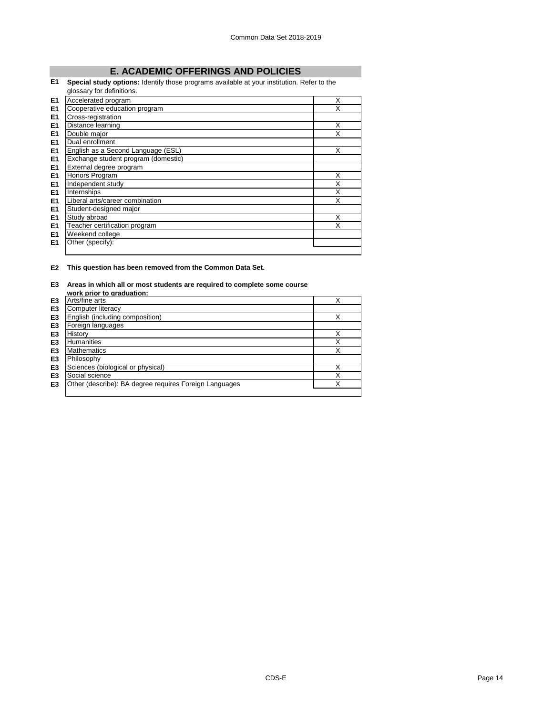# **E. ACADEMIC OFFERINGS AND POLICIES**

# **E1 Special study options:** Identify those programs available at your institution. Refer to the

|                | glossary for definitions.           |   |
|----------------|-------------------------------------|---|
| E1             | Accelerated program                 | X |
| E1             | Cooperative education program       | X |
| E <sub>1</sub> | Cross-registration                  |   |
| E <sub>1</sub> | Distance learning                   | X |
| E <sub>1</sub> | Double major                        | X |
| E <sub>1</sub> | Dual enrollment                     |   |
| E <sub>1</sub> | English as a Second Language (ESL)  | X |
| E <sub>1</sub> | Exchange student program (domestic) |   |
| E <sub>1</sub> | External degree program             |   |
| E <sub>1</sub> | Honors Program                      | X |
| E <sub>1</sub> | Independent study                   | X |
| E <sub>1</sub> | Internships                         | X |
| E <sub>1</sub> | Liberal arts/career combination     | X |
| E <sub>1</sub> | Student-designed major              |   |
| E1             | Study abroad                        | X |
| E <sub>1</sub> | Teacher certification program       | x |
| E1             | Weekend college                     |   |
| E <sub>1</sub> | Other (specify):                    |   |
|                |                                     |   |

## **E2 This question has been removed from the Common Data Set.**

#### **E3 Areas in which all or most students are required to complete some course**

|                | work prior to graduation:                              |   |
|----------------|--------------------------------------------------------|---|
| E <sub>3</sub> | Arts/fine arts                                         |   |
| E <sub>3</sub> | <b>Computer literacy</b>                               |   |
| E <sub>3</sub> | English (including composition)                        | X |
| E <sub>3</sub> | Foreign languages                                      |   |
| E3             | History                                                | X |
| E3             | <b>Humanities</b>                                      | Χ |
| E3             | <b>Mathematics</b>                                     | Χ |
| E3             | Philosophy                                             |   |
| E <sub>3</sub> | Sciences (biological or physical)                      | X |
| E3             | Social science                                         | X |
| E3             | Other (describe): BA degree requires Foreign Languages | х |
|                |                                                        |   |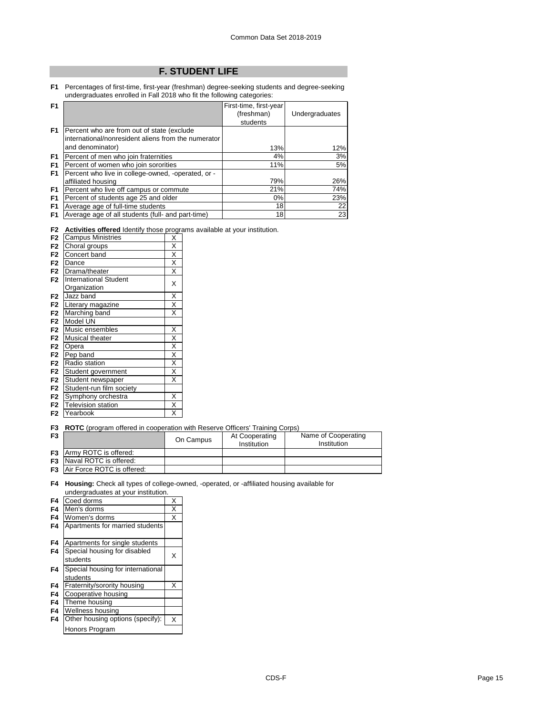# **F. STUDENT LIFE**

**F1** Percentages of first-time, first-year (freshman) degree-seeking students and degree-seeking undergraduates enrolled in Fall 2018 who fit the following categories:

| F <sub>1</sub> |                                                     | First-time, first-year |                |
|----------------|-----------------------------------------------------|------------------------|----------------|
|                |                                                     | (freshman)             | Undergraduates |
|                |                                                     | students               |                |
| F <sub>1</sub> | Percent who are from out of state (exclude)         |                        |                |
|                | international/nonresident aliens from the numerator |                        |                |
|                | and denominator)                                    | 13%                    | 12%            |
| F <sub>1</sub> | Percent of men who join fraternities                | 4%                     | 3%             |
| F <sub>1</sub> | Percent of women who join sororities                | 11%                    | 5%             |
| F <sub>1</sub> | Percent who live in college-owned, -operated, or -  |                        |                |
|                | affiliated housing                                  | 79%                    | 26%            |
| F <sub>1</sub> | Percent who live off campus or commute              | 21%                    | 74%            |
| F <sub>1</sub> | Percent of students age 25 and older                | $0\%$                  | 23%            |
| F <sub>1</sub> | Average age of full-time students                   | 18                     | 22             |
| F1             | Average age of all students (full- and part-time)   | 18                     | 23             |

|  |  |  | <b>F2</b> Activities offered Identify those programs available at your institution. |
|--|--|--|-------------------------------------------------------------------------------------|
|  |  |  |                                                                                     |

| F <sub>2</sub> | <b>Campus Ministries</b>     | Χ                       |
|----------------|------------------------------|-------------------------|
| F <sub>2</sub> | Choral groups                | X                       |
| F <sub>2</sub> | Concert band                 | X                       |
| F <sub>2</sub> | Dance                        | X                       |
| F <sub>2</sub> | Drama/theater                | X                       |
| F <sub>2</sub> | <b>International Student</b> |                         |
|                | Organization                 | X                       |
| F <sub>2</sub> | Jazz band                    | $\overline{\mathsf{x}}$ |
| F <sub>2</sub> | Literary magazine            | $\overline{\mathsf{x}}$ |
| F <sub>2</sub> | Marching band                | $\overline{\mathsf{x}}$ |
| F <sub>2</sub> | Model UN                     |                         |
| F <sub>2</sub> | Music ensembles              | Χ                       |
| F <sub>2</sub> | <b>Musical theater</b>       | X                       |
| F <sub>2</sub> | Opera                        | X                       |
| F <sub>2</sub> | Pep band                     | X                       |
| F <sub>2</sub> | Radio station                | $\overline{\mathsf{x}}$ |
| F <sub>2</sub> | Student government           | X                       |
| F <sub>2</sub> | Student newspaper            | X                       |
| F <sub>2</sub> | Student-run film society     |                         |
| F <sub>2</sub> | Symphony orchestra           | X                       |
| F <sub>2</sub> | <b>Television station</b>    | X                       |
| F <sub>2</sub> | Yearbook                     | X                       |

#### **F3 ROTC** (program offered in cooperation with Reserve Officers' Training Corps)

| F <sub>3</sub> |                                      | On Campus | At Cooperating<br>Institution | Name of Cooperating<br>Institution |  |  |  |
|----------------|--------------------------------------|-----------|-------------------------------|------------------------------------|--|--|--|
|                | <b>F3</b> Army ROTC is offered:      |           |                               |                                    |  |  |  |
|                | <b>F3</b> Naval ROTC is offered:     |           |                               |                                    |  |  |  |
|                | <b>F3</b> Air Force ROTC is offered: |           |                               |                                    |  |  |  |

#### **F4 Housing:** Check all types of college-owned, -operated, or -affiliated housing available for undergraduates at your institution.

| F4 | Coed dorms                               | Χ |
|----|------------------------------------------|---|
| F4 | Men's dorms                              | Χ |
| F4 | Women's dorms                            | X |
| F4 | Apartments for married students          |   |
| F4 | Apartments for single students           |   |
| F4 | Special housing for disabled<br>students | X |
|    |                                          |   |
| F4 | Special housing for international        |   |
|    | students                                 |   |
| F4 | Fraternity/sorority housing              | X |
| F4 | Cooperative housing                      |   |
| F4 | Theme housing                            |   |
| F4 | Wellness housing                         |   |
| F4 | Other housing options (specify):         | X |
|    | Honors Program                           |   |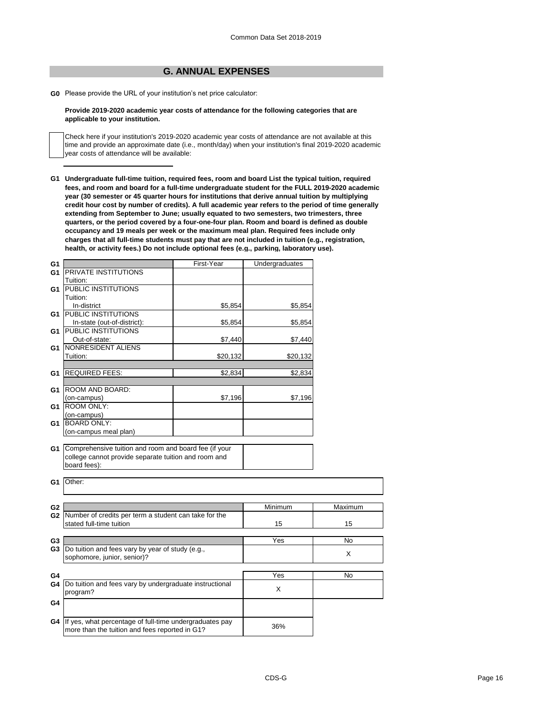# **G. ANNUAL EXPENSES**

**G0** Please provide the URL of your institution's net price calculator:

## **Provide 2019-2020 academic year costs of attendance for the following categories that are applicable to your institution.**

Check here if your institution's 2019-2020 academic year costs of attendance are not available at this time and provide an approximate date (i.e., month/day) when your institution's final 2019-2020 academic year costs of attendance will be available:

**G1 Undergraduate full-time tuition, required fees, room and board List the typical tuition, required fees, and room and board for a full-time undergraduate student for the FULL 2019-2020 academic year (30 semester or 45 quarter hours for institutions that derive annual tuition by multiplying credit hour cost by number of credits). A full academic year refers to the period of time generally extending from September to June; usually equated to two semesters, two trimesters, three quarters, or the period covered by a four-one-four plan. Room and board is defined as double occupancy and 19 meals per week or the maximum meal plan. Required fees include only charges that all full-time students must pay that are not included in tuition (e.g., registration, health, or activity fees.) Do not include optional fees (e.g., parking, laboratory use).**

| G1             |                                                          | First-Year | Undergraduates |         |
|----------------|----------------------------------------------------------|------------|----------------|---------|
| G <sub>1</sub> | <b>PRIVATE INSTITUTIONS</b>                              |            |                |         |
|                | Tuition:                                                 |            |                |         |
| G1             | <b>PUBLIC INSTITUTIONS</b>                               |            |                |         |
|                | Tuition:                                                 |            |                |         |
|                | In-district                                              | \$5,854    | \$5,854        |         |
| G1             | <b>PUBLIC INSTITUTIONS</b>                               |            |                |         |
|                | In-state (out-of-district):                              | \$5,854    | \$5,854        |         |
| G1             | <b>PUBLIC INSTITUTIONS</b>                               |            |                |         |
|                | Out-of-state:                                            | \$7,440    | \$7,440        |         |
| G1             | NONRESIDENT ALIENS                                       |            |                |         |
|                | Tuition:                                                 | \$20,132   | \$20,132       |         |
|                |                                                          |            |                |         |
| G1             | <b>REQUIRED FEES:</b>                                    | \$2,834    | \$2,834        |         |
|                |                                                          |            |                |         |
| G1             | ROOM AND BOARD:                                          |            |                |         |
|                | (on-campus)                                              | \$7,196    | \$7,196        |         |
| G1             | <b>ROOM ONLY:</b>                                        |            |                |         |
|                | (on-campus)                                              |            |                |         |
| G <sub>1</sub> | <b>BOARD ONLY:</b>                                       |            |                |         |
|                | (on-campus meal plan)                                    |            |                |         |
|                |                                                          |            |                |         |
| G1             | Comprehensive tuition and room and board fee (if your    |            |                |         |
|                | college cannot provide separate tuition and room and     |            |                |         |
|                | board fees):                                             |            |                |         |
|                |                                                          |            |                |         |
| G <sub>1</sub> | Other:                                                   |            |                |         |
|                |                                                          |            |                |         |
|                |                                                          |            |                |         |
| G <sub>2</sub> |                                                          |            | Minimum        | Maximum |
|                | G2 Number of credits per term a student can take for the |            |                |         |
|                | stated full-time tuition                                 |            | 15             | 15      |
|                |                                                          |            |                |         |
| G <sub>3</sub> |                                                          |            | Yes            | No      |
| G <sub>3</sub> | Do tuition and fees vary by year of study (e.g.,         |            |                | X       |
|                | sophomore, junior, senior)?                              |            |                |         |
|                |                                                          |            |                |         |
| G4             |                                                          |            | Yes            | No      |
| G4             | Do tuition and fees vary by undergraduate instructional  |            |                |         |
|                | program?                                                 |            | X              |         |
| G4             |                                                          |            |                |         |
|                |                                                          |            |                |         |
|                |                                                          |            |                |         |
| G4             | If yes, what percentage of full-time undergraduates pay  |            | 36%            |         |
|                | more than the tuition and fees reported in G1?           |            |                |         |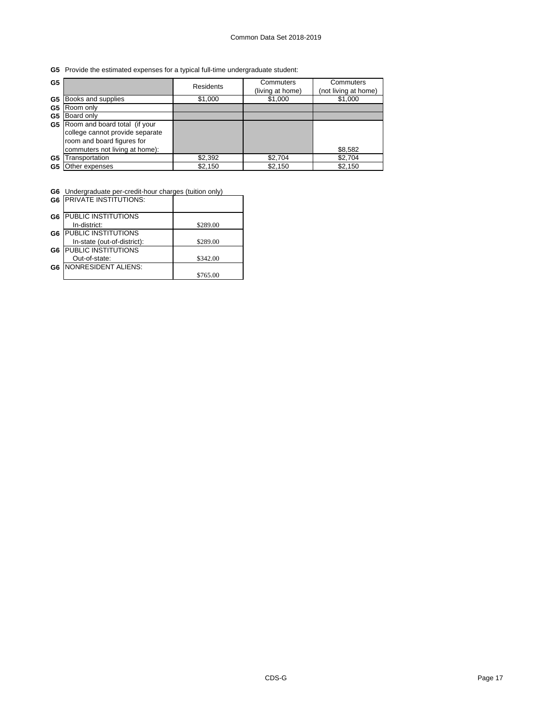**G5** Provide the estimated expenses for a typical full-time undergraduate student:

| G <sub>5</sub> |                                  | <b>Residents</b> | Commuters<br>(living at home) | Commuters<br>(not living at home) |
|----------------|----------------------------------|------------------|-------------------------------|-----------------------------------|
| G5             | Books and supplies               | \$1,000          | \$1,000                       | \$1,000                           |
| G5             | Room only                        |                  |                               |                                   |
| G5             | Board only                       |                  |                               |                                   |
|                | G5 Room and board total (if your |                  |                               |                                   |
|                | college cannot provide separate  |                  |                               |                                   |
|                | room and board figures for       |                  |                               |                                   |
|                | commuters not living at home):   |                  |                               | \$8,582                           |
| G5             | Transportation                   | \$2,392          | \$2,704                       | \$2,704                           |
| G5             | Other expenses                   | \$2,150          | \$2,150                       | \$2,150                           |

**G6** Undergraduate per-credit-hour charges (tuition only)

| G <sub>6</sub> | <b>IPRIVATE INSTITUTIONS:</b> |          |
|----------------|-------------------------------|----------|
| G6             | PUBLIC INSTITUTIONS           |          |
|                | In-district:                  | \$289.00 |
| G6             | PUBLIC INSTITUTIONS           |          |
|                | In-state (out-of-district):   | \$289.00 |
| G <sub>6</sub> | <b>PUBLIC INSTITUTIONS</b>    |          |
|                | Out-of-state:                 | \$342.00 |
| G6             | <b>NONRESIDENT ALIENS:</b>    |          |
|                |                               | \$765.00 |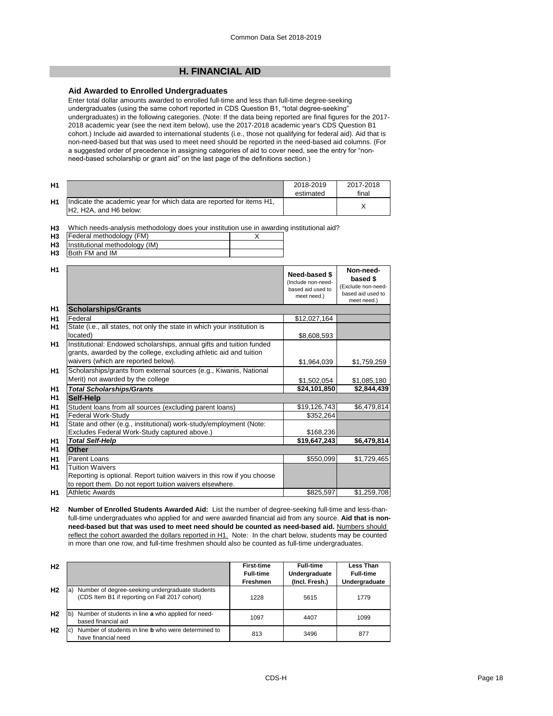# **H. FINANCIAL AID**

## **Aid Awarded to Enrolled Undergraduates**

Enter total dollar amounts awarded to enrolled full-time and less than full-time degree-seeking undergraduates (using the same cohort reported in CDS Question B1, "total degree-seeking" undergraduates) in the following categories. (Note: If the data being reported are final figures for the 2017- 2018 academic year (see the next item below), use the 2017-2018 academic year's CDS Question B1 cohort.) Include aid awarded to international students (i.e., those not qualifying for federal aid). Aid that is non-need-based but that was used to meet need should be reported in the need-based aid columns. (For a suggested order of precedence in assigning categories of aid to cover need, see the entry for "nonneed-based scholarship or grant aid" on the last page of the definitions section.)

| H <sub>1</sub> |                                                                                                                                      | 2018-2019<br>estimated | 2017-2018<br>final |
|----------------|--------------------------------------------------------------------------------------------------------------------------------------|------------------------|--------------------|
| <b>H1</b>      | Indicate the academic year for which data are reported for items H1,<br>H <sub>2</sub> . H <sub>2</sub> A, and H <sub>6</sub> below: |                        |                    |

**H3** Which needs-analysis methodology does your institution use in awarding institutional aid?

| <b>H3</b>                | Federal methodology (FM) |  |
|--------------------------|--------------------------|--|
| $\overline{\phantom{a}}$ |                          |  |

**H3** Institutional methodology (IM)

| H3 | Both FM and IM |  |
|----|----------------|--|
|    |                |  |

| H1             |                                                                                                                                            | Need-based \$<br>(Include non-need-<br>based aid used to<br>meet need.) | Non-need-<br>based \$<br>(Exclude non-need-<br>based aid used to<br>meet need.) |
|----------------|--------------------------------------------------------------------------------------------------------------------------------------------|-------------------------------------------------------------------------|---------------------------------------------------------------------------------|
| H <sub>1</sub> | <b>Scholarships/Grants</b>                                                                                                                 |                                                                         |                                                                                 |
| H <sub>1</sub> | Federal                                                                                                                                    | \$12,027,164                                                            |                                                                                 |
| H1             | State (i.e., all states, not only the state in which your institution is                                                                   |                                                                         |                                                                                 |
|                | located)                                                                                                                                   | \$8,608,593                                                             |                                                                                 |
| H <sub>1</sub> | Institutional: Endowed scholarships, annual gifts and tuition funded<br>grants, awarded by the college, excluding athletic aid and tuition |                                                                         |                                                                                 |
|                | waivers (which are reported below).                                                                                                        | \$1,964,039                                                             | \$1,759,259                                                                     |
| H <sub>1</sub> | Scholarships/grants from external sources (e.g., Kiwanis, National                                                                         |                                                                         |                                                                                 |
|                | Merit) not awarded by the college                                                                                                          | \$1,502,054                                                             | \$1,085,180                                                                     |
| H <sub>1</sub> | <b>Total Scholarships/Grants</b>                                                                                                           | \$24,101,850                                                            | \$2,844,439                                                                     |
| H <sub>1</sub> | Self-Help                                                                                                                                  |                                                                         |                                                                                 |
| H <sub>1</sub> | Student loans from all sources (excluding parent loans)                                                                                    | \$19,126,743                                                            | \$6,479,814                                                                     |
| H <sub>1</sub> | Federal Work-Study                                                                                                                         | \$352,264                                                               |                                                                                 |
| H1             | State and other (e.g., institutional) work-study/employment (Note:                                                                         |                                                                         |                                                                                 |
|                | Excludes Federal Work-Study captured above.)                                                                                               | \$168,236                                                               |                                                                                 |
| H1             | <b>Total Self-Help</b>                                                                                                                     | \$19,647,243                                                            | \$6,479,814                                                                     |
| H1             | Other                                                                                                                                      |                                                                         |                                                                                 |
| H <sub>1</sub> | Parent Loans                                                                                                                               | \$550,099                                                               | \$1,729,465                                                                     |
| H <sub>1</sub> | <b>Tuition Waivers</b>                                                                                                                     |                                                                         |                                                                                 |
|                | Reporting is optional. Report tuition waivers in this row if you choose                                                                    |                                                                         |                                                                                 |
|                | to report them. Do not report tuition waivers elsewhere.                                                                                   |                                                                         |                                                                                 |
| H1             | <b>Athletic Awards</b>                                                                                                                     | \$825,597                                                               | \$1,259,708                                                                     |

**H2 Number of Enrolled Students Awarded Aid:** List the number of degree-seeking full-time and less-thanfull-time undergraduates who applied for and were awarded financial aid from any source. **Aid that is non**need-based but that was used to meet need should be counted as need-based aid. **Numbers should** reflect the cohort awarded the dollars reported in H1. Note: In the chart below, students may be counted in more than one row, and full-time freshmen should also be counted as full-time undergraduates.

| H <sub>2</sub> |                                                                                                        | <b>First-time</b><br><b>Full-time</b><br><b>Freshmen</b> | <b>Full-time</b><br>Undergraduate<br>(Incl. Fresh.) | Less Than<br><b>Full-time</b><br>Undergraduate |
|----------------|--------------------------------------------------------------------------------------------------------|----------------------------------------------------------|-----------------------------------------------------|------------------------------------------------|
| H <sub>2</sub> | Number of degree-seeking undergraduate students<br>a<br>(CDS Item B1 if reporting on Fall 2017 cohort) | 1228                                                     | 5615                                                | 1779                                           |
| H <sub>2</sub> | Number of students in line a who applied for need-<br>lb,<br>based financial aid                       | 1097                                                     | 4407                                                | 1099                                           |
| H <sub>2</sub> | Number of students in line <b>b</b> who were determined to<br>IC)<br>have financial need               | 813                                                      | 3496                                                | 877                                            |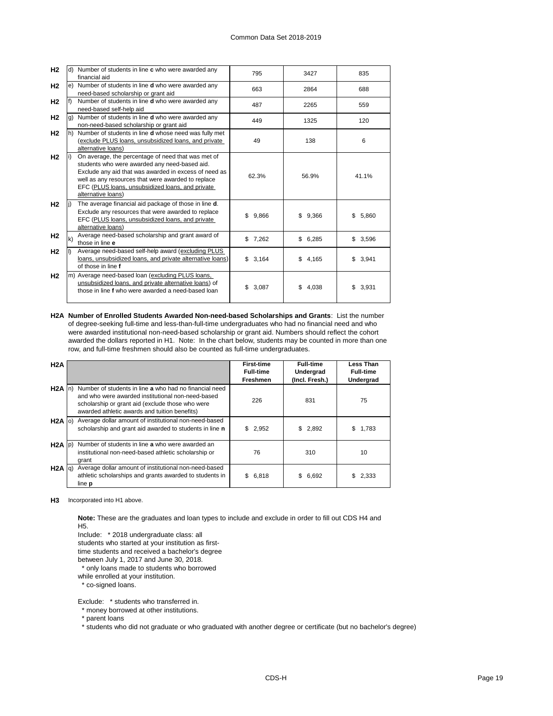| H <sub>2</sub> |              | Number of students in line c who were awarded any<br>financial aid                                                                                                                                                                                                                           | 795          | 3427         | 835         |
|----------------|--------------|----------------------------------------------------------------------------------------------------------------------------------------------------------------------------------------------------------------------------------------------------------------------------------------------|--------------|--------------|-------------|
| H <sub>2</sub> |              | e) Number of students in line <b>d</b> who were awarded any<br>need-based scholarship or grant aid                                                                                                                                                                                           | 663          | 2864         | 688         |
| H <sub>2</sub> |              | Number of students in line <b>d</b> who were awarded any<br>need-based self-help aid                                                                                                                                                                                                         | 487          | 2265         | 559         |
| H <sub>2</sub> | g)           | Number of students in line <b>d</b> who were awarded any<br>non-need-based scholarship or grant aid                                                                                                                                                                                          | 449          | 1325         | 120         |
| H <sub>2</sub> |              | h) Number of students in line <b>d</b> whose need was fully met<br>(exclude PLUS loans, unsubsidized loans, and private<br>alternative loans)                                                                                                                                                | 49           | 138          | 6           |
| H <sub>2</sub> |              | On average, the percentage of need that was met of<br>students who were awarded any need-based aid.<br>Exclude any aid that was awarded in excess of need as<br>well as any resources that were awarded to replace<br>EFC (PLUS loans, unsubsidized loans, and private<br>alternative loans) | 62.3%        | 56.9%        | 41.1%       |
| H <sub>2</sub> |              | The average financial aid package of those in line d.<br>Exclude any resources that were awarded to replace<br>EFC (PLUS loans, unsubsidized loans, and private<br>alternative loans)                                                                                                        | \$9,866      | \$9,366      | 5,860<br>\$ |
| H <sub>2</sub> | $\mathbf{k}$ | Average need-based scholarship and grant award of<br>those in line e                                                                                                                                                                                                                         | \$7,262      | \$6,285      | \$3,596     |
| H <sub>2</sub> |              | Average need-based self-help award (excluding PLUS<br>loans, unsubsidized loans, and private alternative loans)<br>of those in line f                                                                                                                                                        | \$3,164      | \$4,165      | \$3,941     |
| H <sub>2</sub> |              | m) Average need-based loan (excluding PLUS loans,<br>unsubsidized loans, and private alternative loans) of<br>those in line f who were awarded a need-based loan                                                                                                                             | 3,087<br>\$. | \$.<br>4,038 | \$<br>3,931 |

**H2A Number of Enrolled Students Awarded Non-need-based Scholarships and Grants**: List the number of degree-seeking full-time and less-than-full-time undergraduates who had no financial need and who were awarded institutional non-need-based scholarship or grant aid. Numbers should reflect the cohort awarded the dollars reported in H1. Note: In the chart below, students may be counted in more than one row, and full-time freshmen should also be counted as full-time undergraduates.

| H2A               |                                                                                                                                                                                                                  | <b>First-time</b><br><b>Full-time</b><br><b>Freshmen</b> | <b>Full-time</b><br>Undergrad<br>(Incl. Fresh.) | Less Than<br><b>Full-time</b><br>Undergrad |
|-------------------|------------------------------------------------------------------------------------------------------------------------------------------------------------------------------------------------------------------|----------------------------------------------------------|-------------------------------------------------|--------------------------------------------|
| $H2A$ In          | Number of students in line a who had no financial need<br>and who were awarded institutional non-need-based<br>scholarship or grant aid (exclude those who were<br>awarded athletic awards and tuition benefits) | 226                                                      | 831                                             | 75                                         |
| $H2A$ (o)         | Average dollar amount of institutional non-need-based<br>scholarship and grant aid awarded to students in line n                                                                                                 | \$2,952                                                  | \$2,892                                         | 1,783<br>S.                                |
| $H2A$ $ p\rangle$ | Number of students in line a who were awarded an<br>institutional non-need-based athletic scholarship or<br>grant                                                                                                | 76                                                       | 310                                             | 10                                         |
| $H2A  q\rangle$   | Average dollar amount of institutional non-need-based<br>athletic scholarships and grants awarded to students in<br>line <b>p</b>                                                                                | \$<br>6,818                                              | \$<br>6,692                                     | 2,333                                      |

**H3** Incorporated into H1 above.

**Note:** These are the graduates and loan types to include and exclude in order to fill out CDS H4 and H5.

Include: \* 2018 undergraduate class: all

students who started at your institution as first-

time students and received a bachelor's degree

between July 1, 2017 and June 30, 2018.

\* only loans made to students who borrowed

while enrolled at your institution.

\* co-signed loans.

Exclude: \* students who transferred in.

\* money borrowed at other institutions.

\* parent loans

\* students who did not graduate or who graduated with another degree or certificate (but no bachelor's degree)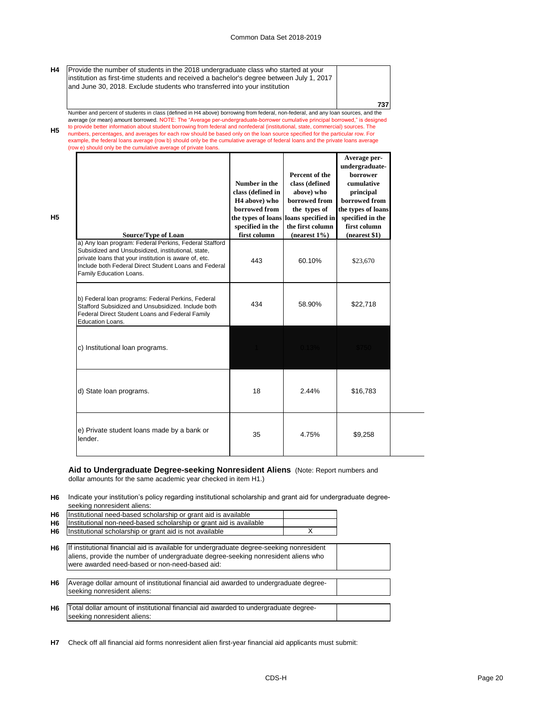**737**

**H4** Provide the number of students in the 2018 undergraduate class who started at your institution as first-time students and received a bachelor's degree between July 1, 2017 and June 30, 2018. Exclude students who transferred into your institution

**H5** Number and percent of students in class (defined in H4 above) borrowing from federal, non-federal, and any loan sources, and the average (or mean) amount borrowed. NOTE: The "Average per-undergraduate-borrower cumulative principal borrowed," is designed<br>to provide better information about student borrowing from federal and nonfederal (institutional, numbers, percentages, and averages for each row should be based only on the loan source specified for the particular row. For example, the federal loans average (row b) should only be the cumulative average of federal loans and the private loans average (row e) should only be the cumulative average of private loans.

| <b>Source/Type of Loan</b>                                                                                                                                                                                                                                | Number in the<br>class (defined in<br>H <sub>4</sub> above) who<br>borrowed from<br>specified in the<br>first column | Percent of the<br>class (defined<br>above) who<br>borrowed from<br>the types of<br>the types of loans loans specified in<br>the first column<br>$(nearest 1\%)$ | Average per-<br>undergraduate-<br><b>borrower</b><br>cumulative<br>principal<br>borrowed from<br>the types of loans<br>specified in the<br>first column<br>(nearest \$1) |
|-----------------------------------------------------------------------------------------------------------------------------------------------------------------------------------------------------------------------------------------------------------|----------------------------------------------------------------------------------------------------------------------|-----------------------------------------------------------------------------------------------------------------------------------------------------------------|--------------------------------------------------------------------------------------------------------------------------------------------------------------------------|
| a) Any loan program: Federal Perkins, Federal Stafford<br>Subsidized and Unsubsidized, institutional, state,<br>private loans that your institution is aware of, etc.<br>Include both Federal Direct Student Loans and Federal<br>Family Education Loans. | 443                                                                                                                  | 60.10%                                                                                                                                                          | \$23,670                                                                                                                                                                 |
| b) Federal loan programs: Federal Perkins, Federal<br>Stafford Subsidized and Unsubsidized. Include both<br>Federal Direct Student Loans and Federal Family<br>Education Loans.                                                                           | 434                                                                                                                  | 58.90%                                                                                                                                                          | \$22,718                                                                                                                                                                 |
| c) Institutional loan programs.                                                                                                                                                                                                                           |                                                                                                                      |                                                                                                                                                                 |                                                                                                                                                                          |
| d) State loan programs.                                                                                                                                                                                                                                   | 18                                                                                                                   | 2.44%                                                                                                                                                           | \$16,783                                                                                                                                                                 |
| e) Private student loans made by a bank or<br>lender.                                                                                                                                                                                                     | 35                                                                                                                   | 4.75%                                                                                                                                                           | \$9,258                                                                                                                                                                  |

# **Aid to Undergraduate Degree-seeking Nonresident Aliens** (Note: Report numbers and

dollar amounts for the same academic year checked in item H1.)

**H5**

**H6** Indicate your institution's policy regarding institutional scholarship and grant aid for undergraduate degreeseeking nonresident aliens:

| H <sub>6</sub> | Institutional need-based scholarship or grant aid is available                                                                                                                                                                  |  |
|----------------|---------------------------------------------------------------------------------------------------------------------------------------------------------------------------------------------------------------------------------|--|
| H <sub>6</sub> | Institutional non-need-based scholarship or grant aid is available                                                                                                                                                              |  |
| H6             | Institutional scholarship or grant aid is not available                                                                                                                                                                         |  |
| H <sub>6</sub> | If institutional financial aid is available for undergraduate degree-seeking nonresident<br>aliens, provide the number of undergraduate degree-seeking nonresident aliens who<br>were awarded need-based or non-need-based aid: |  |
| H <sub>6</sub> | Average dollar amount of institutional financial aid awarded to undergraduate degree-<br>seeking nonresident aliens:                                                                                                            |  |
| H <sub>6</sub> | Total dollar amount of institutional financial aid awarded to undergraduate degree-<br>seeking nonresident aliens:                                                                                                              |  |

**H7** Check off all financial aid forms nonresident alien first-year financial aid applicants must submit: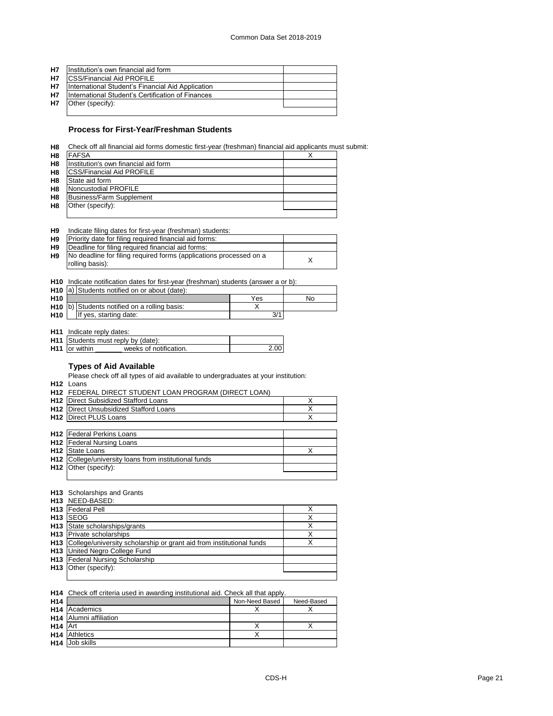| <b>H7</b> | Ilnstitution's own financial aid form             |  |
|-----------|---------------------------------------------------|--|
| H7        | <b>ICSS/Financial Aid PROFILE</b>                 |  |
| <b>H7</b> | International Student's Financial Aid Application |  |
| <b>H7</b> | International Student's Certification of Finances |  |
| <b>H7</b> | Other (specify):                                  |  |
|           |                                                   |  |

# **Process for First-Year/Freshman Students**

**H8** Check off all financial aid forms domestic first-year (freshman) financial aid applicants must submit:

| H <sub>8</sub> | <b>FAFSA</b>                         |  |
|----------------|--------------------------------------|--|
| H <sub>8</sub> | Institution's own financial aid form |  |
| H8             | <b>ICSS/Financial Aid PROFILE</b>    |  |
| H <sub>8</sub> | State aid form                       |  |
| H <sub>8</sub> | Noncustodial PROFILE                 |  |
| H <sub>8</sub> | Business/Farm Supplement             |  |
| H <sub>8</sub> | Other (specify):                     |  |
|                |                                      |  |

| H <sub>9</sub> | Indicate filing dates for first-year (freshman) students:                             |  |
|----------------|---------------------------------------------------------------------------------------|--|
| H <sub>9</sub> | Priority date for filing required financial aid forms:                                |  |
| H <sub>9</sub> | Deadline for filing required financial aid forms:                                     |  |
| H <sub>9</sub> | No deadline for filing required forms (applications processed on a<br>rolling basis): |  |

**H10** Indicate notification dates for first-year (freshman) students (answer a or b):

|                 | H <sub>10</sub> a) Students notified on or about (date): |     |    |
|-----------------|----------------------------------------------------------|-----|----|
| H <sub>10</sub> |                                                          | Yes | No |
|                 | H <sub>10</sub> b) Students notified on a rolling basis: |     |    |
| <b>H10</b>      | If yes, starting date:                                   | 3/1 |    |

**H11** Indicate reply dates:

|                      | <b>H11</b> Students must reply by (date): |                   |
|----------------------|-------------------------------------------|-------------------|
| <b>H11</b> or within | weeks of notification.                    | 2.00 <sub>1</sub> |

# **Types of Aid Available**

Please check off all types of aid available to undergraduates at your institution:

| H12 | Loans |
|-----|-------|
|     |       |

|                 | <b>H12 FEDERAL DIRECT STUDENT LOAN PROGRAM (DIRECT LOAN)</b>      |  |
|-----------------|-------------------------------------------------------------------|--|
| H <sub>12</sub> | Direct Subsidized Stafford Loans                                  |  |
|                 | <b>H12</b> Direct Unsubsidized Stafford Loans                     |  |
|                 | <b>H12</b> Direct PLUS Loans                                      |  |
|                 |                                                                   |  |
|                 | <b>H12</b> Federal Perkins Loans                                  |  |
|                 | <b>H12</b> Federal Nursing Loans                                  |  |
| H <sub>12</sub> | <b>State Loans</b>                                                |  |
|                 | H <sub>12</sub> College/university loans from institutional funds |  |
|                 | H <sub>12</sub> Other (specify):                                  |  |
|                 |                                                                   |  |

#### **H13** Scholarships and Grants

|                 | H13 NEED-BASED:                                                          |   |
|-----------------|--------------------------------------------------------------------------|---|
| H <sub>13</sub> | <b>Federal Pell</b>                                                      |   |
| H <sub>13</sub> | <b>SEOG</b>                                                              | v |
|                 | H <sub>13</sub> State scholarships/grants                                | v |
|                 | <b>H13</b> Private scholarships                                          | Х |
|                 | H13 College/university scholarship or grant aid from institutional funds | ◡ |
|                 | <b>H13</b> United Negro College Fund                                     |   |
|                 | <b>H13</b> Federal Nursing Scholarship                                   |   |
|                 | H <sub>13</sub> Other (specify):                                         |   |
|                 |                                                                          |   |

**H14** Check off criteria used in awarding institutional aid. Check all that apply.

| H <sub>14</sub>     |                                    | Non-Need Based | Need-Based |
|---------------------|------------------------------------|----------------|------------|
|                     | H <sub>14</sub> Academics          |                |            |
|                     | H <sub>14</sub> Alumni affiliation |                |            |
| H <sub>14</sub> Art |                                    |                |            |
|                     | <b>H<sub>14</sub></b> Athletics    |                |            |
|                     | H <sub>14</sub> Job skills         |                |            |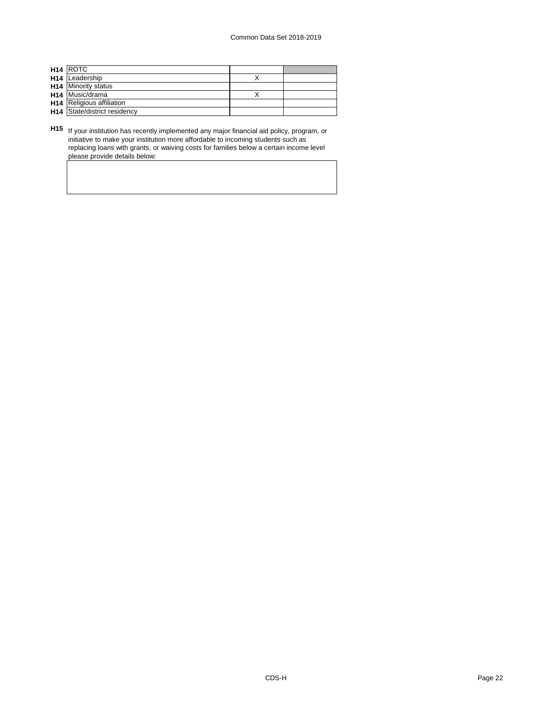| <b>H14 ROTC</b>                     |  |
|-------------------------------------|--|
| H <sub>14</sub> Leadership          |  |
| <b>H14</b> Minority status          |  |
| H <sub>14</sub> Music/drama         |  |
| <b>H14</b> Religious affiliation    |  |
| <b>H14</b> State/district residency |  |

**H15** If your institution has recently implemented any major financial aid policy, program, or initiative to make your institution more affordable to incoming students such as replacing loans with grants, or waiving costs for families below a certain income level please provide details below: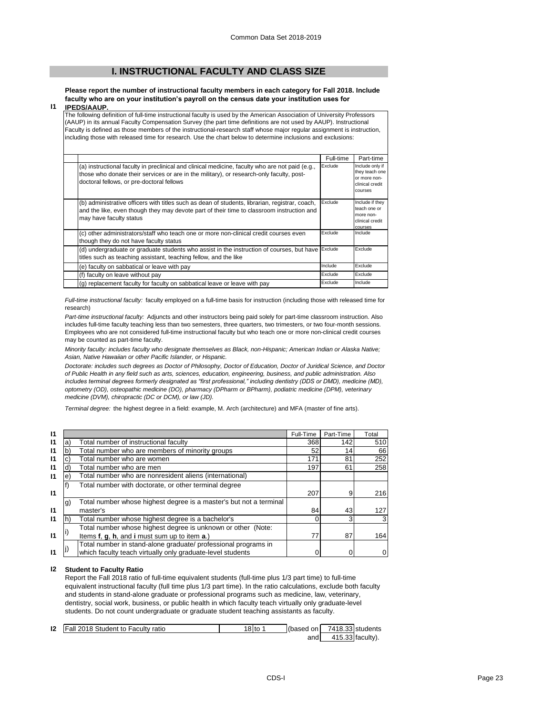# **I. INSTRUCTIONAL FACULTY AND CLASS SIZE**

**Please report the number of instructional faculty members in each category for Fall 2018. Include faculty who are on your institution's payroll on the census date your institution uses for IPEDS/AAUP.**

#### **I1**

The following definition of full-time instructional faculty is used by the American Association of University Professors (AAUP) in its annual Faculty Compensation Survey (the part time definitions are not used by AAUP). Instructional Faculty is defined as those members of the instructional-research staff whose major regular assignment is instruction, including those with released time for research. Use the chart below to determine inclusions and exclusions:

|                                                                                                                                                                                                                                          | Full-time | Part-time                                                                       |
|------------------------------------------------------------------------------------------------------------------------------------------------------------------------------------------------------------------------------------------|-----------|---------------------------------------------------------------------------------|
| (a) instructional faculty in preclinical and clinical medicine, faculty who are not paid (e.g.,<br>those who donate their services or are in the military), or research-only faculty, post-<br>doctoral fellows, or pre-doctoral fellows | Exclude   | Include only if<br>they teach one<br>or more non-<br>clinical credit<br>courses |
| (b) administrative officers with titles such as dean of students, librarian, registrar, coach,<br>and the like, even though they may devote part of their time to classroom instruction and<br>may have faculty status                   | Exclude   | Include if they<br>teach one or<br>more non-<br>clinical credit<br>courses      |
| (c) other administrators/staff who teach one or more non-clinical credit courses even<br>though they do not have faculty status                                                                                                          | Exclude   | Include                                                                         |
| (d) undergraduate or graduate students who assist in the instruction of courses, but have<br>titles such as teaching assistant, teaching fellow, and the like                                                                            | Exclude   | Exclude                                                                         |
| (e) faculty on sabbatical or leave with pay                                                                                                                                                                                              | Include   | Exclude                                                                         |
| (f) faculty on leave without pay                                                                                                                                                                                                         | Exclude   | Exclude                                                                         |
| (g) replacement faculty for faculty on sabbatical leave or leave with pay                                                                                                                                                                | Exclude   | Include                                                                         |

*Full-time instructional faculty:* faculty employed on a full-time basis for instruction (including those with released time for research)

*Part-time instructional faculty:* Adjuncts and other instructors being paid solely for part-time classroom instruction. Also includes full-time faculty teaching less than two semesters, three quarters, two trimesters, or two four-month sessions. Employees who are not considered full-time instructional faculty but who teach one or more non-clinical credit courses may be counted as part-time faculty.

*Minority faculty: includes faculty who designate themselves as Black, non-Hispanic; American Indian or Alaska Native; Asian, Native Hawaiian or other Pacific Islander, or Hispanic.* 

*Doctorate: includes such degrees as Doctor of Philosophy, Doctor of Education, Doctor of Juridical Science, and Doctor of Public Health in any field such as arts, sciences, education, engineering, business, and public administration. Also*  includes terminal degrees formerly designated as "first professional," including dentistry (DDS or DMD), medicine (MD), *optometry (OD), osteopathic medicine (DO), pharmacy (DPharm or BPharm), podiatric medicine (DPM), veterinary medicine (DVM), chiropractic (DC or DCM), or law (JD).*

*Terminal degree:* the highest degree in a field: example, M. Arch (architecture) and MFA (master of fine arts).

| 11           |    |                                                                    | Full-Time | Part-Time | Total |
|--------------|----|--------------------------------------------------------------------|-----------|-----------|-------|
| 11           | a) | Total number of instructional faculty                              | 368       | 142       | 510   |
| 11           | b. | Total number who are members of minority groups                    | 52        | 14        | 66    |
| 11           |    | Total number who are women                                         | 171       | 81        | 252   |
| $\mathsf{I}$ | d  | Total number who are men                                           | 197       | 61        | 258   |
| $\mathbf{I}$ | e. | Total number who are nonresident aliens (international)            |           |           |       |
|              |    | Total number with doctorate, or other terminal degree              |           |           |       |
| 11           |    |                                                                    | 207       | 9         | 216   |
|              | g) | Total number whose highest degree is a master's but not a terminal |           |           |       |
| 11           |    | master's                                                           | 84        | 43        | 127   |
| 11           |    | Total number whose highest degree is a bachelor's                  |           | 3         |       |
|              |    | Total number whose highest degree is unknown or other (Note:       |           |           |       |
| $\mathbf{I}$ |    | Items f, g, h, and i must sum up to item a.)                       | 77        | 87        | 164   |
|              |    | Total number in stand-alone graduate/ professional programs in     |           |           |       |
| 11           |    | which faculty teach virtually only graduate-level students         |           |           |       |

#### **I2 Student to Faculty Ratio**

Report the Fall 2018 ratio of full-time equivalent students (full-time plus 1/3 part time) to full-time equivalent instructional faculty (full time plus 1/3 part time). In the ratio calculations, exclude both faculty and students in stand-alone graduate or professional programs such as medicine, law, veterinary, dentistry, social work, business, or public health in which faculty teach virtually only graduate-level students. Do not count undergraduate or graduate student teaching assistants as faculty.

| 12 | Fall 2018 Student to Faculty ratio | I 8 I to | (based on |                  | 7418.33 students |
|----|------------------------------------|----------|-----------|------------------|------------------|
|    |                                    |          | andl      | 415.33 faculty). |                  |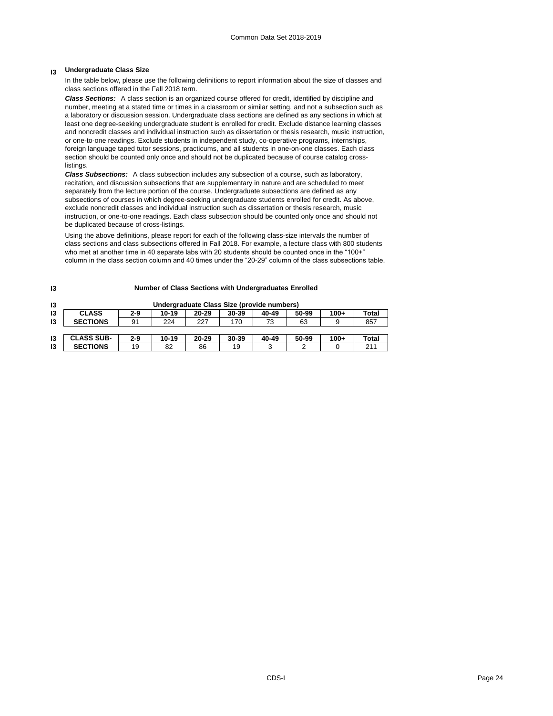# **I3 Undergraduate Class Size**

In the table below, please use the following definitions to report information about the size of classes and class sections offered in the Fall 2018 term.

*Class Sections:* A class section is an organized course offered for credit, identified by discipline and number, meeting at a stated time or times in a classroom or similar setting, and not a subsection such as a laboratory or discussion session. Undergraduate class sections are defined as any sections in which at least one degree-seeking undergraduate student is enrolled for credit. Exclude distance learning classes and noncredit classes and individual instruction such as dissertation or thesis research, music instruction, or one-to-one readings. Exclude students in independent study, co-operative programs, internships, foreign language taped tutor sessions, practicums, and all students in one-on-one classes. Each class section should be counted only once and should not be duplicated because of course catalog crosslistings.

*Class Subsections:* A class subsection includes any subsection of a course, such as laboratory, recitation, and discussion subsections that are supplementary in nature and are scheduled to meet separately from the lecture portion of the course. Undergraduate subsections are defined as any subsections of courses in which degree-seeking undergraduate students enrolled for credit. As above, exclude noncredit classes and individual instruction such as dissertation or thesis research, music instruction, or one-to-one readings. Each class subsection should be counted only once and should not be duplicated because of cross-listings.

Using the above definitions, please report for each of the following class-size intervals the number of class sections and class subsections offered in Fall 2018. For example, a lecture class with 800 students who met at another time in 40 separate labs with 20 students should be counted once in the "100+" column in the class section column and 40 times under the "20-29" column of the class subsections table.

| 13 | Undergraduate Class Size (provide numbers) |       |           |           |       |       |       |        |       |
|----|--------------------------------------------|-------|-----------|-----------|-------|-------|-------|--------|-------|
| 13 | <b>CLASS</b>                               | 2-9   | $10 - 19$ | $20 - 29$ | 30-39 | 40-49 | 50-99 | $100+$ | Total |
| 13 | <b>SECTIONS</b>                            | 91    | 224       | 227       | 170   | 73    | 63    | 9      | 857   |
|    |                                            |       |           |           |       |       |       |        |       |
| 13 | <b>CLASS SUB-</b>                          | $2-9$ | $10 - 19$ | $20 - 29$ | 30-39 | 40-49 | 50-99 | 100+   | Total |
| 13 | <b>SECTIONS</b>                            | 19    | 82        | 86        | 19    | 3     | ◠     |        | 211   |

#### **I3**

## **Number of Class Sections with Undergraduates Enrolled**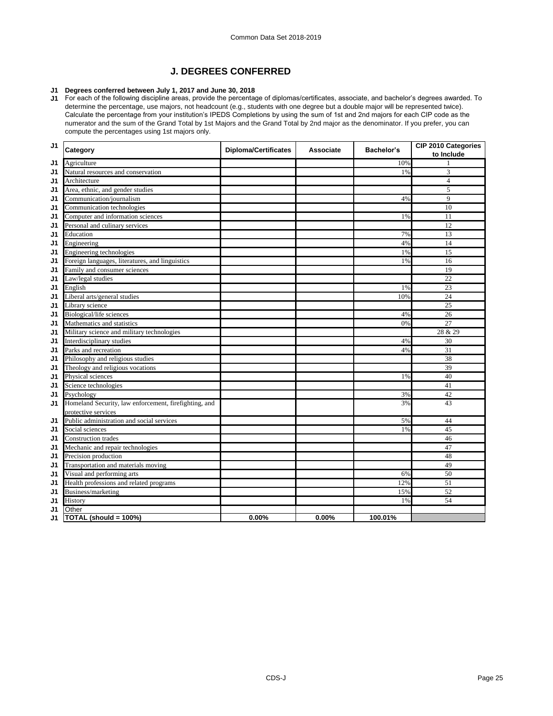# **J. DEGREES CONFERRED**

## **J1 Degrees conferred between July 1, 2017 and June 30, 2018**

J1 For each of the following discipline areas, provide the percentage of diplomas/certificates, associate, and bachelor's degrees awarded. To determine the percentage, use majors, not headcount (e.g., students with one degree but a double major will be represented twice). Calculate the percentage from your institution's IPEDS Completions by using the sum of 1st and 2nd majors for each CIP code as the numerator and the sum of the Grand Total by 1st Majors and the Grand Total by 2nd major as the denominator. If you prefer, you can compute the percentages using 1st majors only.

| J <sub>1</sub> | Category                                              | <b>Diploma/Certificates</b> | Associate | Bachelor's | CIP 2010 Categories<br>to Include |
|----------------|-------------------------------------------------------|-----------------------------|-----------|------------|-----------------------------------|
| J1             | Agriculture                                           |                             |           | 10%        | 1                                 |
| J1             | Natural resources and conservation                    |                             |           | 1%         | 3                                 |
| J1             | Architecture                                          |                             |           |            | $\overline{4}$                    |
| J1             | Area, ethnic, and gender studies                      |                             |           |            | 5                                 |
| J1             | Communication/journalism                              |                             |           | 4%         | 9                                 |
| J1             | Communication technologies                            |                             |           |            | 10                                |
| J1             | Computer and information sciences                     |                             |           | 1%         | 11                                |
| J1             | Personal and culinary services                        |                             |           |            | $\overline{12}$                   |
| J1             | Education                                             |                             |           | 7%         | 13                                |
| J1             | Engineering                                           |                             |           | 4%         | 14                                |
| J1             | Engineering technologies                              |                             |           | 1%         | 15                                |
| J1             | Foreign languages, literatures, and linguistics       |                             |           | 1%         | 16                                |
| J1             | Family and consumer sciences                          |                             |           |            | 19                                |
| J1             | Law/legal studies                                     |                             |           |            | 22                                |
| J1             | English                                               |                             |           | 1%         | 23                                |
| J1             | Liberal arts/general studies                          |                             |           | 10%        | 24                                |
| J1             | Library science                                       |                             |           |            | 25                                |
| J1             | Biological/life sciences                              |                             |           | 4%         | 26                                |
| J1             | Mathematics and statistics                            |                             |           | 0%         | 27                                |
| J1             | Military science and military technologies            |                             |           |            | 28 & 29                           |
| J1             | Interdisciplinary studies                             |                             |           | 4%         | 30                                |
| J1             | Parks and recreation                                  |                             |           | 4%         | $\overline{31}$                   |
| J1             | Philosophy and religious studies                      |                             |           |            | 38                                |
| J1             | Theology and religious vocations                      |                             |           |            | 39                                |
| J1             | Physical sciences                                     |                             |           | 1%         | 40                                |
| J1             | Science technologies                                  |                             |           |            | 41                                |
| J1             | Psychology                                            |                             |           | 3%         | 42                                |
| J1             | Homeland Security, law enforcement, firefighting, and |                             |           | 3%         | 43                                |
|                | protective services                                   |                             |           |            |                                   |
| J1             | Public administration and social services             |                             |           | 5%         | 44                                |
| J <sub>1</sub> | Social sciences                                       |                             |           | 1%         | 45                                |
| J1             | <b>Construction</b> trades                            |                             |           |            | 46                                |
| J1             | Mechanic and repair technologies                      |                             |           |            | 47                                |
| J1             | Precision production                                  |                             |           |            | 48                                |
| J1             | Transportation and materials moving                   |                             |           |            | 49                                |
| J1             | Visual and performing arts                            |                             |           | 6%         | 50                                |
| J1             | Health professions and related programs               |                             |           | 12%        | 51                                |
| J1             | Business/marketing                                    |                             |           | 15%        | 52                                |
| J1             | History                                               |                             |           | 1%         | 54                                |
| J1             | Other                                                 |                             |           |            |                                   |
| J1             | TOTAL (should = 100%)                                 | 0.00%                       | 0.00%     | 100.01%    |                                   |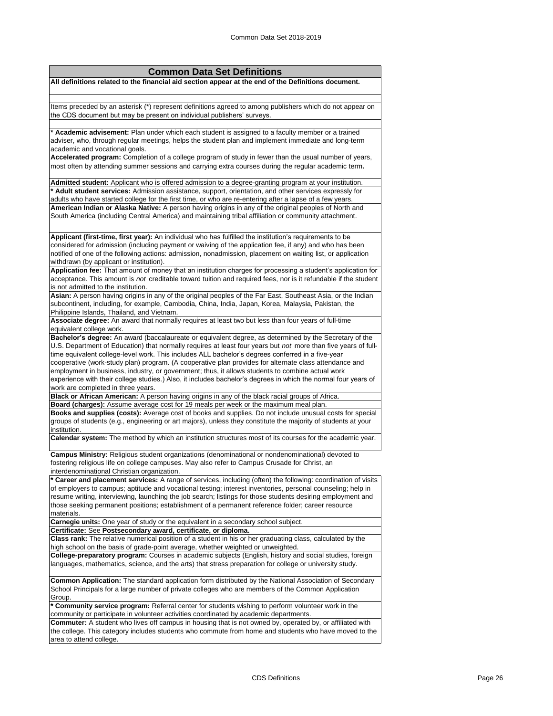| <b>Common Data Set Definitions</b>                                                                                                                                                                                       |
|--------------------------------------------------------------------------------------------------------------------------------------------------------------------------------------------------------------------------|
| All definitions related to the financial aid section appear at the end of the Definitions document.                                                                                                                      |
|                                                                                                                                                                                                                          |
| Items preceded by an asterisk (*) represent definitions agreed to among publishers which do not appear on                                                                                                                |
| the CDS document but may be present on individual publishers' surveys.                                                                                                                                                   |
|                                                                                                                                                                                                                          |
| * Academic advisement: Plan under which each student is assigned to a faculty member or a trained                                                                                                                        |
| adviser, who, through regular meetings, helps the student plan and implement immediate and long-term                                                                                                                     |
| academic and vocational goals.                                                                                                                                                                                           |
| Accelerated program: Completion of a college program of study in fewer than the usual number of years,                                                                                                                   |
| most often by attending summer sessions and carrying extra courses during the regular academic term.                                                                                                                     |
| Admitted student: Applicant who is offered admission to a degree-granting program at your institution.                                                                                                                   |
| * Adult student services: Admission assistance, support, orientation, and other services expressly for                                                                                                                   |
| adults who have started college for the first time, or who are re-entering after a lapse of a few years.                                                                                                                 |
| American Indian or Alaska Native: A person having origins in any of the original peoples of North and                                                                                                                    |
| South America (including Central America) and maintaining tribal affiliation or community attachment.                                                                                                                    |
|                                                                                                                                                                                                                          |
| Applicant (first-time, first year): An individual who has fulfilled the institution's requirements to be                                                                                                                 |
| considered for admission (including payment or waiving of the application fee, if any) and who has been                                                                                                                  |
| notified of one of the following actions: admission, nonadmission, placement on waiting list, or application<br>withdrawn (by applicant or institution).                                                                 |
| Application fee: That amount of money that an institution charges for processing a student's application for                                                                                                             |
| acceptance. This amount is not creditable toward tuition and required fees, nor is it refundable if the student                                                                                                          |
| is not admitted to the institution.                                                                                                                                                                                      |
| Asian: A person having origins in any of the original peoples of the Far East, Southeast Asia, or the Indian                                                                                                             |
| subcontinent, including, for example, Cambodia, China, India, Japan, Korea, Malaysia, Pakistan, the                                                                                                                      |
| Philippine Islands, Thailand, and Vietnam.                                                                                                                                                                               |
| Associate degree: An award that normally requires at least two but less than four years of full-time                                                                                                                     |
| equivalent college work.                                                                                                                                                                                                 |
| Bachelor's degree: An award (baccalaureate or equivalent degree, as determined by the Secretary of the<br>U.S. Department of Education) that normally requires at least four years but not more than five years of full- |
| time equivalent college-level work. This includes ALL bachelor's degrees conferred in a five-year                                                                                                                        |
| cooperative (work-study plan) program. (A cooperative plan provides for alternate class attendance and                                                                                                                   |
| employment in business, industry, or government; thus, it allows students to combine actual work                                                                                                                         |
| experience with their college studies.) Also, it includes bachelor's degrees in which the normal four years of                                                                                                           |
| work are completed in three years.                                                                                                                                                                                       |
| Black or African American: A person having origins in any of the black racial groups of Africa.                                                                                                                          |
| Board (charges): Assume average cost for 19 meals per week or the maximum meal plan.                                                                                                                                     |
| Books and supplies (costs): Average cost of books and supplies. Do not include unusual costs for special                                                                                                                 |
| groups of students (e.g., engineering or art majors), unless they constitute the majority of students at your<br>institution.                                                                                            |
| Calendar system: The method by which an institution structures most of its courses for the academic year.                                                                                                                |
|                                                                                                                                                                                                                          |
| Campus Ministry: Religious student organizations (denominational or nondenominational) devoted to                                                                                                                        |
| fostering religious life on college campuses. May also refer to Campus Crusade for Christ, an<br>interdenominational Christian organization.                                                                             |
| * Career and placement services: A range of services, including (often) the following: coordination of visits                                                                                                            |
| of employers to campus; aptitude and vocational testing; interest inventories, personal counseling; help in                                                                                                              |
| resume writing, interviewing, launching the job search; listings for those students desiring employment and                                                                                                              |
| those seeking permanent positions; establishment of a permanent reference folder; career resource                                                                                                                        |
| materials.                                                                                                                                                                                                               |
| Carnegie units: One year of study or the equivalent in a secondary school subject.                                                                                                                                       |
| Certificate: See Postsecondary award, certificate, or diploma.<br>Class rank: The relative numerical position of a student in his or her graduating class, calculated by the                                             |
| high school on the basis of grade-point average, whether weighted or unweighted.                                                                                                                                         |
| <b>College-preparatory program:</b> Courses in academic subjects (English, history and social studies, foreign                                                                                                           |
| languages, mathematics, science, and the arts) that stress preparation for college or university study.                                                                                                                  |
| <b>Common Application:</b> The standard application form distributed by the National Association of Secondary                                                                                                            |
| School Principals for a large number of private colleges who are members of the Common Application                                                                                                                       |
| Group.                                                                                                                                                                                                                   |
| Community service program: Referral center for students wishing to perform volunteer work in the                                                                                                                         |
| community or participate in volunteer activities coordinated by academic departments.                                                                                                                                    |
| Commuter: A student who lives off campus in housing that is not owned by, operated by, or affiliated with                                                                                                                |
| the college. This category includes students who commute from home and students who have moved to the                                                                                                                    |
| area to attend college.                                                                                                                                                                                                  |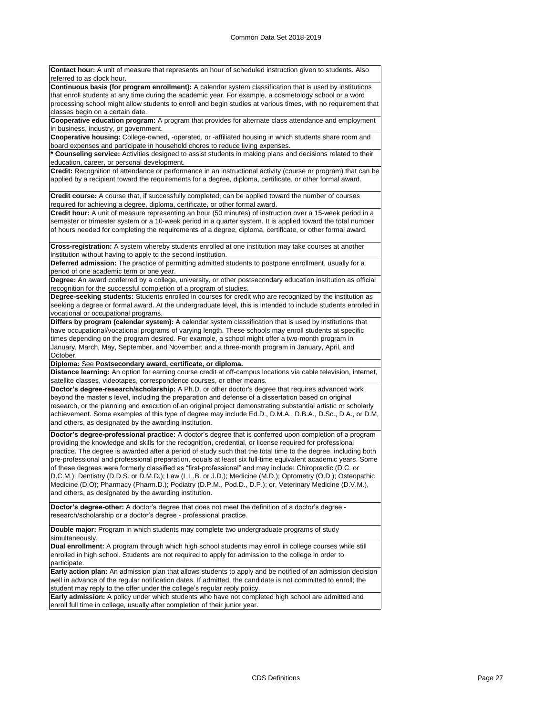**Contact hour:** A unit of measure that represents an hour of scheduled instruction given to students. Also referred to as clock hour. **Continuous basis (for program enrollment):** A calendar system classification that is used by institutions that enroll students at any time during the academic year. For example, a cosmetology school or a word processing school might allow students to enroll and begin studies at various times, with no requirement that classes begin on a certain date. **Cooperative education program:** A program that provides for alternate class attendance and employment in business, industry, or government. **Cooperative housing:** College-owned, -operated, or -affiliated housing in which students share room and board expenses and participate in household chores to reduce living expenses. **\* Counseling service:** Activities designed to assist students in making plans and decisions related to their education, career, or personal development. **Credit:** Recognition of attendance or performance in an instructional activity (course or program) that can be applied by a recipient toward the requirements for a degree, diploma, certificate, or other formal award.

**Credit course:** A course that, if successfully completed, can be applied toward the number of courses required for achieving a degree, diploma, certificate, or other formal award.

**Credit hour:** A unit of measure representing an hour (50 minutes) of instruction over a 15-week period in a semester or trimester system or a 10-week period in a quarter system. It is applied toward the total number of hours needed for completing the requirements of a degree, diploma, certificate, or other formal award.

**Cross-registration:** A system whereby students enrolled at one institution may take courses at another institution without having to apply to the second institution.

**Deferred admission:** The practice of permitting admitted students to postpone enrollment, usually for a period of one academic term or one year.

**Degree:** An award conferred by a college, university, or other postsecondary education institution as official recognition for the successful completion of a program of studies.

**Degree-seeking students:** Students enrolled in courses for credit who are recognized by the institution as seeking a degree or formal award. At the undergraduate level, this is intended to include students enrolled in vocational or occupational programs.

**Differs by program (calendar system):** A calendar system classification that is used by institutions that have occupational/vocational programs of varying length. These schools may enroll students at specific times depending on the program desired. For example, a school might offer a two-month program in January, March, May, September, and November; and a three-month program in January, April, and October.

**Diploma:** See **Postsecondary award, certificate, or diploma.**

**Distance learning:** An option for earning course credit at off-campus locations via cable television, internet, satellite classes, videotapes, correspondence courses, or other means.

**Doctor's degree-research/scholarship:** A Ph.D. or other doctor's degree that requires advanced work beyond the master's level, including the preparation and defense of a dissertation based on original research, or the planning and execution of an original project demonstrating substantial artistic or scholarly achievement. Some examples of this type of degree may include Ed.D., D.M.A., D.B.A., D.Sc., D.A., or D.M, and others, as designated by the awarding institution.

**Doctor's degree-professional practice:** A doctor's degree that is conferred upon completion of a program providing the knowledge and skills for the recognition, credential, or license required for professional practice. The degree is awarded after a period of study such that the total time to the degree, including both pre-professional and professional preparation, equals at least six full-time equivalent academic years. Some of these degrees were formerly classified as "first-professional" and may include: Chiropractic (D.C. or D.C.M.); Dentistry (D.D.S. or D.M.D.); Law (L.L.B. or J.D.); Medicine (M.D.); Optometry (O.D.); Osteopathic Medicine (D.O); Pharmacy (Pharm.D.); Podiatry (D.P.M., Pod.D., D.P.); or, Veterinary Medicine (D.V.M.), and others, as designated by the awarding institution.

**Doctor's degree-other:** A doctor's degree that does not meet the definition of a doctor's degree research/scholarship or a doctor's degree - professional practice.

**Double major:** Program in which students may complete two undergraduate programs of study simultaneously.

**Dual enrollment:** A program through which high school students may enroll in college courses while still enrolled in high school. Students are not required to apply for admission to the college in order to participate.

**Early action plan:** An admission plan that allows students to apply and be notified of an admission decision well in advance of the regular notification dates. If admitted, the candidate is not committed to enroll; the student may reply to the offer under the college's regular reply policy.

**Early admission:** A policy under which students who have not completed high school are admitted and enroll full time in college, usually after completion of their junior year.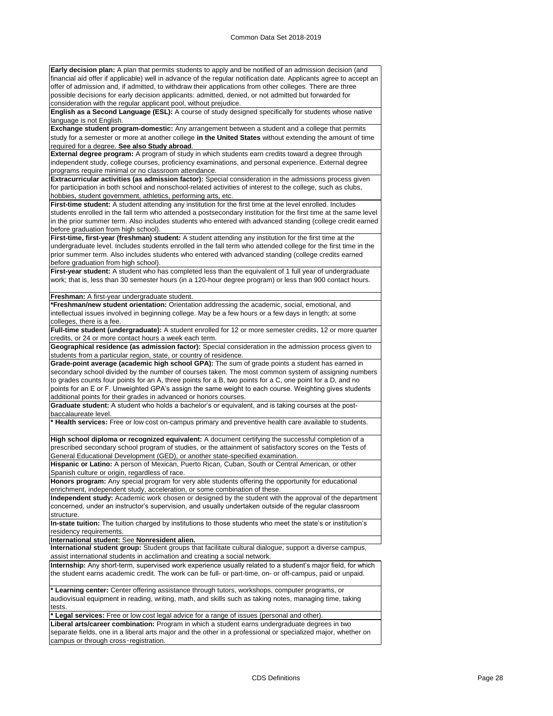**Early decision plan:** A plan that permits students to apply and be notified of an admission decision (and financial aid offer if applicable) well in advance of the regular notification date. Applicants agree to accept an offer of admission and, if admitted, to withdraw their applications from other colleges. There are three possible decisions for early decision applicants: admitted, denied, or not admitted but forwarded for consideration with the regular applicant pool, without prejudice.

**English as a Second Language (ESL):** A course of study designed specifically for students whose native language is not English.

**Exchange student program-domestic:** Any arrangement between a student and a college that permits study for a semester or more at another college **in the United States** without extending the amount of time required for a degree. **See also Study abroad**.

**External degree program:** A program of study in which students earn credits toward a degree through independent study, college courses, proficiency examinations, and personal experience. External degree programs require minimal or no classroom attendance.

**Extracurricular activities (as admission factor):** Special consideration in the admissions process given for participation in both school and nonschool-related activities of interest to the college, such as clubs, hobbies, student government, athletics, performing arts, etc.

First-time student: A student attending any institution for the first time at the level enrolled. Includes students enrolled in the fall term who attended a postsecondary institution for the first time at the same level in the prior summer term. Also includes students who entered with advanced standing (college credit earned before graduation from high school).

**First-time, first-year (freshman) student:** A student attending any institution for the first time at the undergraduate level. Includes students enrolled in the fall term who attended college for the first time in the prior summer term. Also includes students who entered with advanced standing (college credits earned before graduation from high school).

**First-year student:** A student who has completed less than the equivalent of 1 full year of undergraduate work; that is, less than 30 semester hours (in a 120-hour degree program) or less than 900 contact hours.

**Freshman:** A first-year undergraduate student.

**\*Freshman/new student orientation:** Orientation addressing the academic, social, emotional, and intellectual issues involved in beginning college. May be a few hours or a few days in length; at some colleges, there is a fee.

**Full-time student (undergraduate):** A student enrolled for 12 or more semester credits, 12 or more quarter credits, or 24 or more contact hours a week each term.

**Geographical residence (as admission factor):** Special consideration in the admission process given to students from a particular region, state, or country of residence.

**Grade-point average (academic high school GPA):** The sum of grade points a student has earned in secondary school divided by the number of courses taken. The most common system of assigning numbers to grades counts four points for an A, three points for a B, two points for a C, one point for a D, and no points for an E or F. Unweighted GPA's assign the same weight to each course. Weighting gives students additional points for their grades in advanced or honors courses.

**Graduate student:** A student who holds a bachelor's or equivalent, and is taking courses at the postbaccalaureate level.

**\* Health services:** Free or low cost on-campus primary and preventive health care available to students.

**High school diploma or recognized equivalent:** A document certifying the successful completion of a prescribed secondary school program of studies, or the attainment of satisfactory scores on the Tests of General Educational Development (GED), or another state-specified examination.

**Hispanic or Latino:** A person of Mexican, Puerto Rican, Cuban, South or Central American, or other Spanish culture or origin, regardless of race.

**Honors program:** Any special program for very able students offering the opportunity for educational enrichment, independent study, acceleration, or some combination of these.

**Independent study:** Academic work chosen or designed by the student with the approval of the department concerned, under an instructor's supervision, and usually undertaken outside of the regular classroom structure.

**In-state tuition:** The tuition charged by institutions to those students who meet the state's or institution's residency requirements.

**International student:** See **Nonresident alien.**

**International student group:** Student groups that facilitate cultural dialogue, support a diverse campus, assist international students in acclimation and creating a social network.

**Internship:** Any short-term, supervised work experience usually related to a student's major field, for which the student earns academic credit. The work can be full- or part-time, on- or off-campus, paid or unpaid.

**\* Learning center:** Center offering assistance through tutors, workshops, computer programs, or audiovisual equipment in reading, writing, math, and skills such as taking notes, managing time, taking tests.

**\* Legal services:** Free or low cost legal advice for a range of issues (personal and other).

**Liberal arts/career combination:** Program in which a student earns undergraduate degrees in two separate fields, one in a liberal arts major and the other in a professional or specialized major, whether on campus or through cross-registration.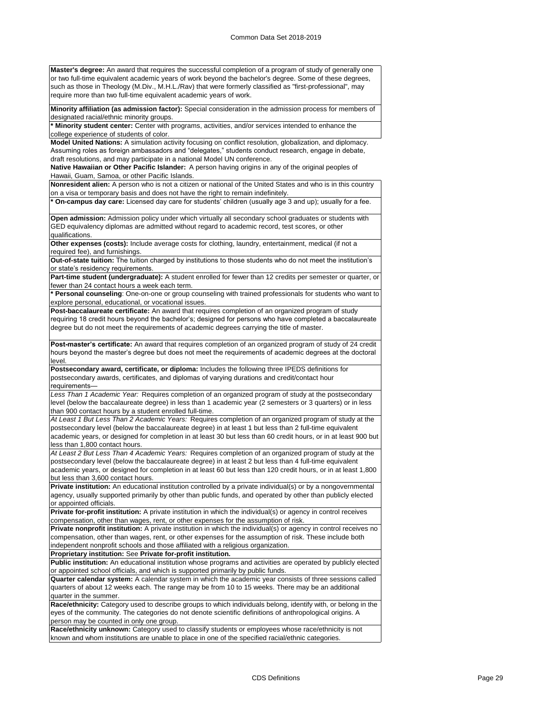**Master's degree:** An award that requires the successful completion of a program of study of generally one or two full-time equivalent academic years of work beyond the bachelor's degree. Some of these degrees, such as those in Theology (M.Div., M.H.L./Rav) that were formerly classified as "first-professional", may require more than two full-time equivalent academic years of work.

**Minority affiliation (as admission factor):** Special consideration in the admission process for members of designated racial/ethnic minority groups.

**\* Minority student center:** Center with programs, activities, and/or services intended to enhance the college experience of students of color.

**Model United Nations:** A simulation activity focusing on conflict resolution, globalization, and diplomacy. Assuming roles as foreign ambassadors and "delegates," students conduct research, engage in debate, draft resolutions, and may participate in a national Model UN conference.

**Native Hawaiian or Other Pacific Islander:** A person having origins in any of the original peoples of Hawaii, Guam, Samoa, or other Pacific Islands.

**Nonresident alien:** A person who is not a citizen or national of the United States and who is in this country on a visa or temporary basis and does not have the right to remain indefinitely.

**\* On-campus day care:** Licensed day care for students' children (usually age 3 and up); usually for a fee.

**Open admission:** Admission policy under which virtually all secondary school graduates or students with GED equivalency diplomas are admitted without regard to academic record, test scores, or other qualifications.

**Other expenses (costs):** Include average costs for clothing, laundry, entertainment, medical (if not a required fee), and furnishings.

**Out-of-state tuition:** The tuition charged by institutions to those students who do not meet the institution's or state's residency requirements.

Part-time student (undergraduate): A student enrolled for fewer than 12 credits per semester or quarter, or fewer than 24 contact hours a week each term.

**\* Personal counseling**: One-on-one or group counseling with trained professionals for students who want to explore personal, educational, or vocational issues.

**Post-baccalaureate certificate:** An award that requires completion of an organized program of study requiring 18 credit hours beyond the bachelor's; designed for persons who have completed a baccalaureate degree but do not meet the requirements of academic degrees carrying the title of master.

**Post-master's certificate:** An award that requires completion of an organized program of study of 24 credit hours beyond the master's degree but does not meet the requirements of academic degrees at the doctoral level.

**Postsecondary award, certificate, or diploma:** Includes the following three IPEDS definitions for postsecondary awards, certificates, and diplomas of varying durations and credit/contact hour requirements—

*Less Than 1 Academic Year:* Requires completion of an organized program of study at the postsecondary level (below the baccalaureate degree) in less than 1 academic year (2 semesters or 3 quarters) or in less than 900 contact hours by a student enrolled full-time.

*At Least 1 But Less Than 2 Academic Years:* Requires completion of an organized program of study at the postsecondary level (below the baccalaureate degree) in at least 1 but less than 2 full-time equivalent academic years, or designed for completion in at least 30 but less than 60 credit hours, or in at least 900 but less than 1,800 contact hours.

*At Least 2 But Less Than 4 Academic Years:* Requires completion of an organized program of study at the postsecondary level (below the baccalaureate degree) in at least 2 but less than 4 full-time equivalent academic years, or designed for completion in at least 60 but less than 120 credit hours, or in at least 1,800 but less than 3,600 contact hours.

**Private institution:** An educational institution controlled by a private individual(s) or by a nongovernmental agency, usually supported primarily by other than public funds, and operated by other than publicly elected or appointed officials.

**Private for-profit institution:** A private institution in which the individual(s) or agency in control receives compensation, other than wages, rent, or other expenses for the assumption of risk.

**Private nonprofit institution:** A private institution in which the individual(s) or agency in control receives no compensation, other than wages, rent, or other expenses for the assumption of risk. These include both independent nonprofit schools and those affiliated with a religious organization.

**Proprietary institution:** See **Private for-profit institution.**

**Public institution:** An educational institution whose programs and activities are operated by publicly elected or appointed school officials, and which is supported primarily by public funds.

**Quarter calendar system:** A calendar system in which the academic year consists of three sessions called quarters of about 12 weeks each. The range may be from 10 to 15 weeks. There may be an additional quarter in the summer.

**Race/ethnicity:** Category used to describe groups to which individuals belong, identify with, or belong in the eyes of the community. The categories do not denote scientific definitions of anthropological origins. A person may be counted in only one group.

**Race/ethnicity unknown:** Category used to classify students or employees whose race/ethnicity is not known and whom institutions are unable to place in one of the specified racial/ethnic categories.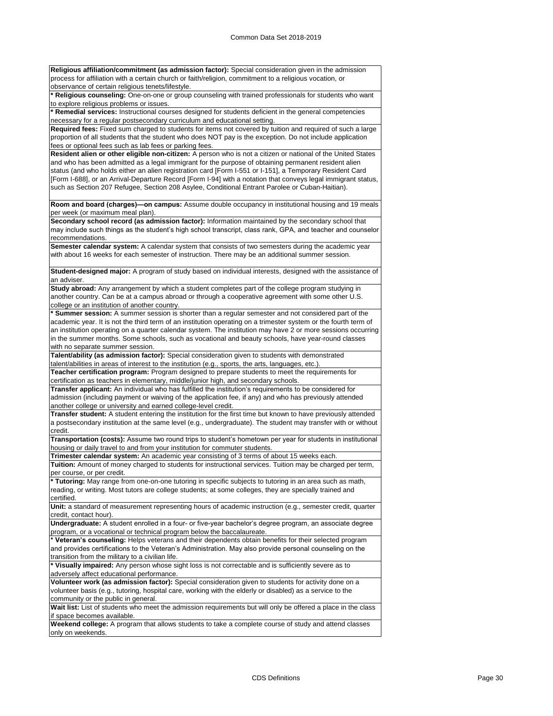**Religious affiliation/commitment (as admission factor):** Special consideration given in the admission process for affiliation with a certain church or faith/religion, commitment to a religious vocation, or .<br>observance of certain religious tenets/lifestyle.

**\* Religious counseling:** One-on-one or group counseling with trained professionals for students who want to explore religious problems or issues.

**\* Remedial services:** Instructional courses designed for students deficient in the general competencies necessary for a regular postsecondary curriculum and educational setting.

**Required fees:** Fixed sum charged to students for items not covered by tuition and required of such a large proportion of all students that the student who does NOT pay is the exception. Do not include application fees or optional fees such as lab fees or parking fees.

**Resident alien or other eligible non-citizen:** A person who is not a citizen or national of the United States and who has been admitted as a legal immigrant for the purpose of obtaining permanent resident alien status (and who holds either an alien registration card [Form I-551 or I-151], a Temporary Resident Card [Form I-688], or an Arrival-Departure Record [Form I-94] with a notation that conveys legal immigrant status, such as Section 207 Refugee, Section 208 Asylee, Conditional Entrant Parolee or Cuban-Haitian).

**Room and board (charges)—on campus:** Assume double occupancy in institutional housing and 19 meals per week (or maximum meal plan).

**Secondary school record (as admission factor):** Information maintained by the secondary school that may include such things as the student's high school transcript, class rank, GPA, and teacher and counselor recommendations.

**Semester calendar system:** A calendar system that consists of two semesters during the academic year with about 16 weeks for each semester of instruction. There may be an additional summer session.

**Student-designed major:** A program of study based on individual interests, designed with the assistance of an adviser.

**Study abroad:** Any arrangement by which a student completes part of the college program studying in another country. Can be at a campus abroad or through a cooperative agreement with some other U.S. college or an institution of another country.

**\* Summer session:** A summer session is shorter than a regular semester and not considered part of the academic year. It is not the third term of an institution operating on a trimester system or the fourth term of an institution operating on a quarter calendar system. The institution may have 2 or more sessions occurring in the summer months. Some schools, such as vocational and beauty schools, have year-round classes with no separate summer session.

**Talent/ability (as admission factor):** Special consideration given to students with demonstrated talent/abilities in areas of interest to the institution (e.g., sports, the arts, languages, etc.).

**Teacher certification program:** Program designed to prepare students to meet the requirements for certification as teachers in elementary, middle/junior high, and secondary schools.

**Transfer applicant:** An individual who has fulfilled the institution's requirements to be considered for admission (including payment or waiving of the application fee, if any) and who has previously attended another college or university and earned college-level credit.

**Transfer student:** A student entering the institution for the first time but known to have previously attended a postsecondary institution at the same level (e.g., undergraduate). The student may transfer with or without credit.

**Transportation (costs):** Assume two round trips to student's hometown per year for students in institutional housing or daily travel to and from your institution for commuter students.

**Trimester calendar system:** An academic year consisting of 3 terms of about 15 weeks each.

**Tuition:** Amount of money charged to students for instructional services. Tuition may be charged per term, per course, or per credit.

**\* Tutoring:** May range from one-on-one tutoring in specific subjects to tutoring in an area such as math, reading, or writing. Most tutors are college students; at some colleges, they are specially trained and certified.

**Unit:** a standard of measurement representing hours of academic instruction (e.g., semester credit, quarter credit, contact hour).

**Undergraduate:** A student enrolled in a four- or five-year bachelor's degree program, an associate degree program, or a vocational or technical program below the baccalaureate.

**\* Veteran's counseling:** Helps veterans and their dependents obtain benefits for their selected program and provides certifications to the Veteran's Administration. May also provide personal counseling on the transition from the military to a civilian life.

**\* Visually impaired:** Any person whose sight loss is not correctable and is sufficiently severe as to adversely affect educational performance.

**Volunteer work (as admission factor):** Special consideration given to students for activity done on a volunteer basis (e.g., tutoring, hospital care, working with the elderly or disabled) as a service to the community or the public in general.

Wait list: List of students who meet the admission requirements but will only be offered a place in the class if space becomes available.

**Weekend college:** A program that allows students to take a complete course of study and attend classes only on weekends.